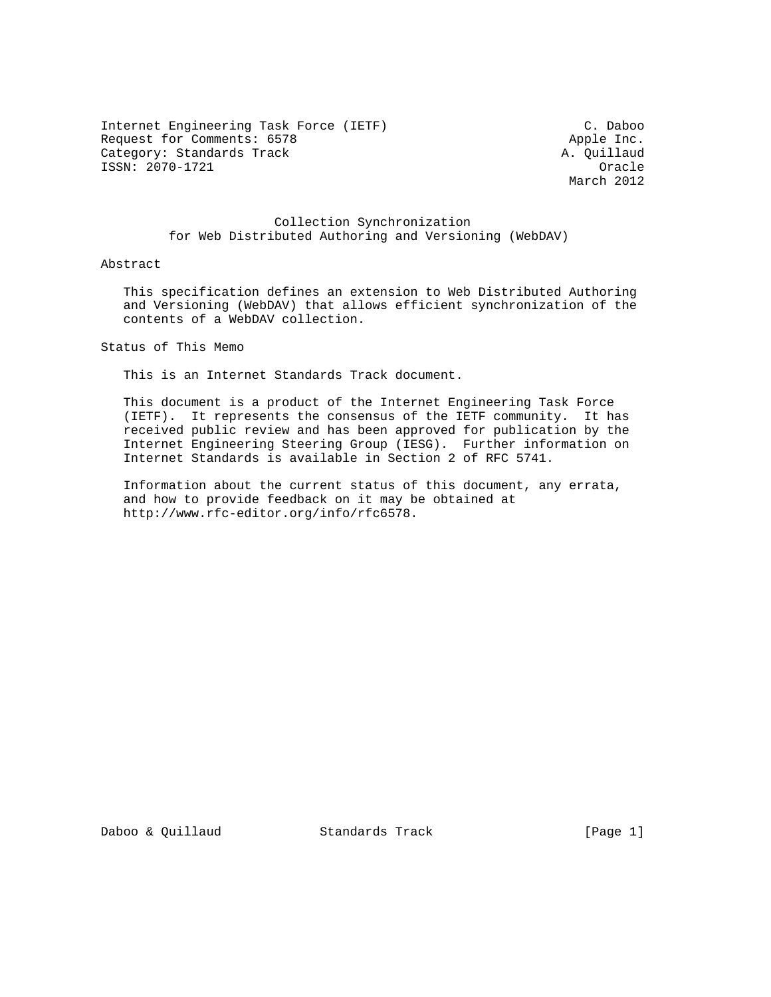Internet Engineering Task Force (IETF) C. Daboo Request for Comments: 6578 Apple Inc.<br>
Category: Standards Track A. Ouillaud Category: Standards Track ISSN: 2070-1721 Oracle

March 2012

## Collection Synchronization for Web Distributed Authoring and Versioning (WebDAV)

### Abstract

 This specification defines an extension to Web Distributed Authoring and Versioning (WebDAV) that allows efficient synchronization of the contents of a WebDAV collection.

Status of This Memo

This is an Internet Standards Track document.

 This document is a product of the Internet Engineering Task Force (IETF). It represents the consensus of the IETF community. It has received public review and has been approved for publication by the Internet Engineering Steering Group (IESG). Further information on Internet Standards is available in Section 2 of RFC 5741.

 Information about the current status of this document, any errata, and how to provide feedback on it may be obtained at http://www.rfc-editor.org/info/rfc6578.

Daboo & Quillaud Standards Track [Page 1]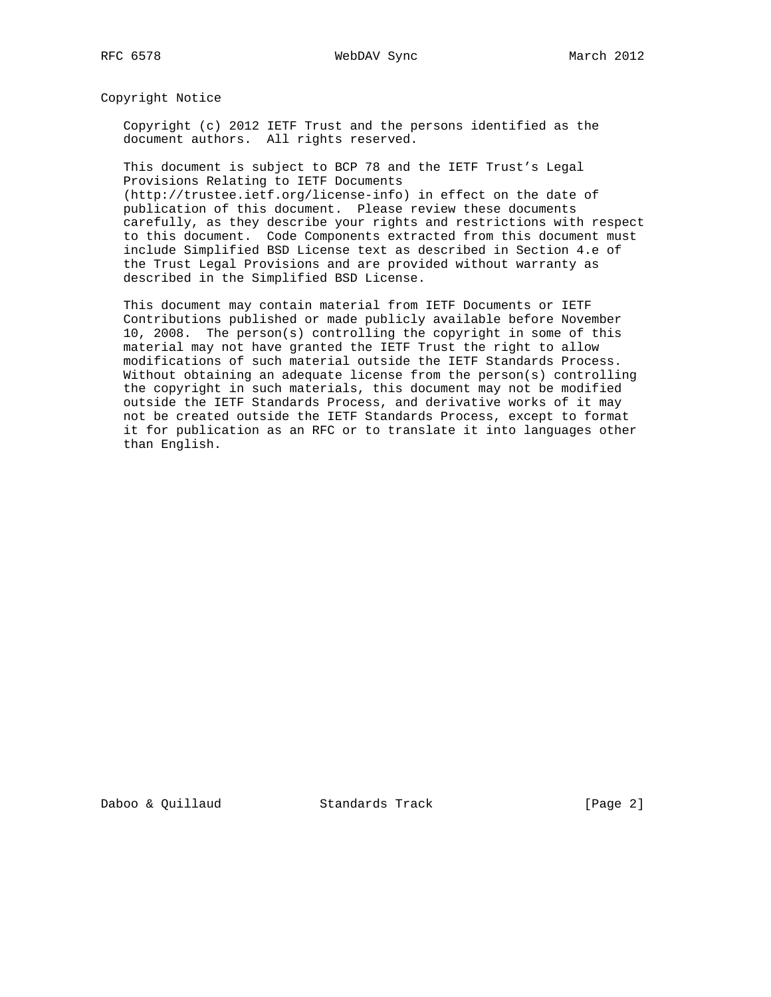Copyright Notice

 Copyright (c) 2012 IETF Trust and the persons identified as the document authors. All rights reserved.

 This document is subject to BCP 78 and the IETF Trust's Legal Provisions Relating to IETF Documents (http://trustee.ietf.org/license-info) in effect on the date of

 publication of this document. Please review these documents carefully, as they describe your rights and restrictions with respect to this document. Code Components extracted from this document must include Simplified BSD License text as described in Section 4.e of the Trust Legal Provisions and are provided without warranty as described in the Simplified BSD License.

 This document may contain material from IETF Documents or IETF Contributions published or made publicly available before November 10, 2008. The person(s) controlling the copyright in some of this material may not have granted the IETF Trust the right to allow modifications of such material outside the IETF Standards Process. Without obtaining an adequate license from the person(s) controlling the copyright in such materials, this document may not be modified outside the IETF Standards Process, and derivative works of it may not be created outside the IETF Standards Process, except to format it for publication as an RFC or to translate it into languages other than English.

Daboo & Quillaud Standards Track [Page 2]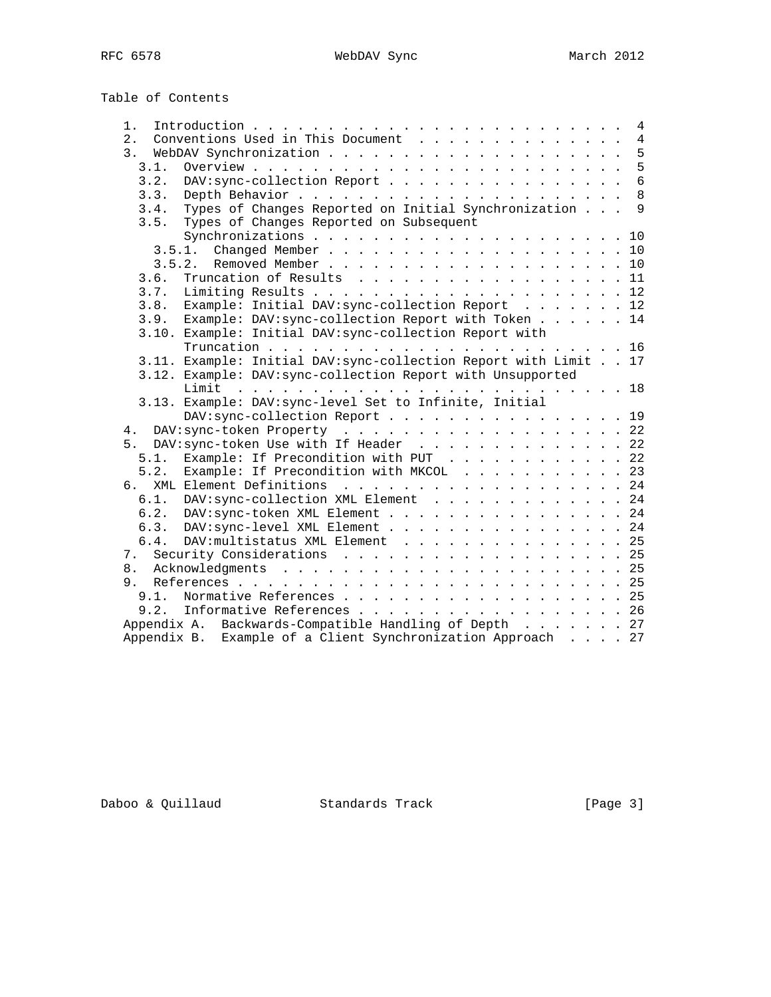Table of Contents

| 1.                                                               |  | 4               |  |  |
|------------------------------------------------------------------|--|-----------------|--|--|
| Conventions Used in This Document<br>2.                          |  | $\overline{4}$  |  |  |
| 3.                                                               |  | 5               |  |  |
| 3.1.                                                             |  | 5               |  |  |
| DAV: sync-collection Report<br>3.2.                              |  | $6\overline{6}$ |  |  |
| 3.3.                                                             |  | 8               |  |  |
| Types of Changes Reported on Initial Synchronization<br>3.4.     |  | $\mathsf{Q}$    |  |  |
| Types of Changes Reported on Subsequent<br>3.5.                  |  |                 |  |  |
|                                                                  |  |                 |  |  |
|                                                                  |  |                 |  |  |
|                                                                  |  |                 |  |  |
| Truncation of Results 11<br>3.6.                                 |  |                 |  |  |
| 3.7.                                                             |  |                 |  |  |
| 3.8. Example: Initial DAV: sync-collection Report 12             |  |                 |  |  |
| 3.9. Example: DAV: sync-collection Report with Token 14          |  |                 |  |  |
| 3.10. Example: Initial DAV: sync-collection Report with          |  |                 |  |  |
|                                                                  |  |                 |  |  |
| 3.11. Example: Initial DAV: sync-collection Report with Limit 17 |  |                 |  |  |
| 3.12. Example: DAV: sync-collection Report with Unsupported      |  |                 |  |  |
|                                                                  |  |                 |  |  |
| 3.13. Example: DAV: sync-level Set to Infinite, Initial          |  |                 |  |  |
| DAV: sync-collection Report 19                                   |  |                 |  |  |
| DAV: sync-token Property 22<br>4.                                |  |                 |  |  |
| 5. DAV: sync-token Use with If Header 22                         |  |                 |  |  |
| Example: If Precondition with PUT 22<br>5.1.                     |  |                 |  |  |
| 5.2.<br>Example: If Precondition with MKCOL 23                   |  |                 |  |  |
| 6. XML Element Definitions 24                                    |  |                 |  |  |
| 6.1. DAV: sync-collection XML Element 24                         |  |                 |  |  |
|                                                                  |  |                 |  |  |
| 6.2. DAV: sync-token XML Element 24                              |  |                 |  |  |
| 6.3. DAV: sync-level XML Element 24                              |  |                 |  |  |
| DAV: multistatus XML Element 25<br>6.4.                          |  |                 |  |  |
| Security Considerations 25<br>7.                                 |  |                 |  |  |
|                                                                  |  |                 |  |  |
| 9.                                                               |  |                 |  |  |
| Normative References 25<br>9.1.                                  |  |                 |  |  |
| Informative References 26<br>9.2.                                |  |                 |  |  |
| Appendix A. Backwards-Compatible Handling of Depth 27            |  |                 |  |  |
| Appendix B. Example of a Client Synchronization Approach 27      |  |                 |  |  |

Daboo & Quillaud Standards Track [Page 3]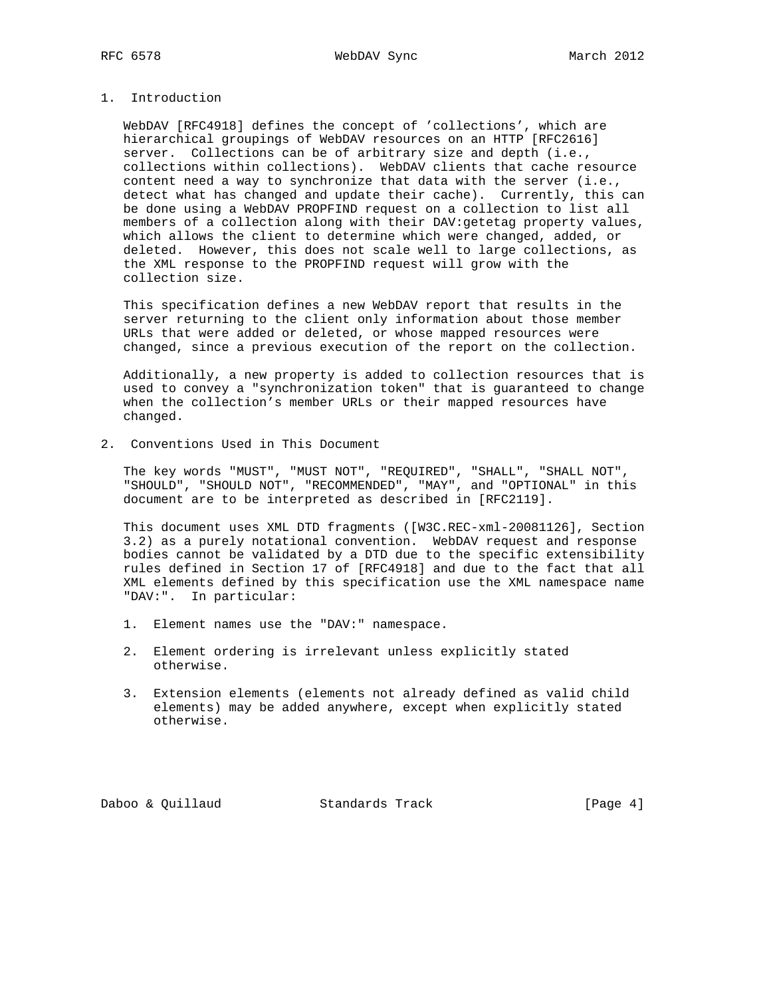# 1. Introduction

 WebDAV [RFC4918] defines the concept of 'collections', which are hierarchical groupings of WebDAV resources on an HTTP [RFC2616] server. Collections can be of arbitrary size and depth (i.e., collections within collections). WebDAV clients that cache resource content need a way to synchronize that data with the server (i.e., detect what has changed and update their cache). Currently, this can be done using a WebDAV PROPFIND request on a collection to list all members of a collection along with their DAV:getetag property values, which allows the client to determine which were changed, added, or deleted. However, this does not scale well to large collections, as the XML response to the PROPFIND request will grow with the collection size.

 This specification defines a new WebDAV report that results in the server returning to the client only information about those member URLs that were added or deleted, or whose mapped resources were changed, since a previous execution of the report on the collection.

 Additionally, a new property is added to collection resources that is used to convey a "synchronization token" that is guaranteed to change when the collection's member URLs or their mapped resources have changed.

2. Conventions Used in This Document

 The key words "MUST", "MUST NOT", "REQUIRED", "SHALL", "SHALL NOT", "SHOULD", "SHOULD NOT", "RECOMMENDED", "MAY", and "OPTIONAL" in this document are to be interpreted as described in [RFC2119].

 This document uses XML DTD fragments ([W3C.REC-xml-20081126], Section 3.2) as a purely notational convention. WebDAV request and response bodies cannot be validated by a DTD due to the specific extensibility rules defined in Section 17 of [RFC4918] and due to the fact that all XML elements defined by this specification use the XML namespace name "DAV:". In particular:

- 1. Element names use the "DAV:" namespace.
- 2. Element ordering is irrelevant unless explicitly stated otherwise.
- 3. Extension elements (elements not already defined as valid child elements) may be added anywhere, except when explicitly stated otherwise.

Daboo & Quillaud Standards Track [Page 4]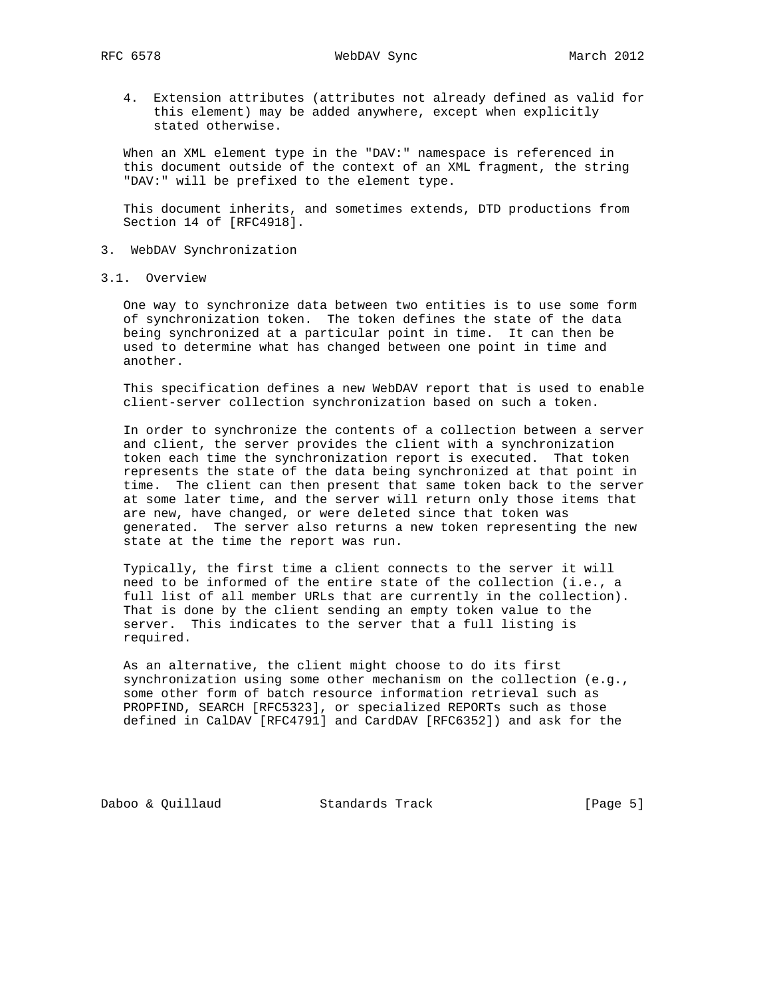RFC 6578 WebDAV Sync March 2012

 4. Extension attributes (attributes not already defined as valid for this element) may be added anywhere, except when explicitly stated otherwise.

 When an XML element type in the "DAV:" namespace is referenced in this document outside of the context of an XML fragment, the string "DAV:" will be prefixed to the element type.

 This document inherits, and sometimes extends, DTD productions from Section 14 of [RFC4918].

- 3. WebDAV Synchronization
- 3.1. Overview

 One way to synchronize data between two entities is to use some form of synchronization token. The token defines the state of the data being synchronized at a particular point in time. It can then be used to determine what has changed between one point in time and another.

 This specification defines a new WebDAV report that is used to enable client-server collection synchronization based on such a token.

 In order to synchronize the contents of a collection between a server and client, the server provides the client with a synchronization token each time the synchronization report is executed. That token represents the state of the data being synchronized at that point in time. The client can then present that same token back to the server at some later time, and the server will return only those items that are new, have changed, or were deleted since that token was generated. The server also returns a new token representing the new state at the time the report was run.

 Typically, the first time a client connects to the server it will need to be informed of the entire state of the collection (i.e., a full list of all member URLs that are currently in the collection). That is done by the client sending an empty token value to the server. This indicates to the server that a full listing is required.

 As an alternative, the client might choose to do its first synchronization using some other mechanism on the collection (e.g., some other form of batch resource information retrieval such as PROPFIND, SEARCH [RFC5323], or specialized REPORTs such as those defined in CalDAV [RFC4791] and CardDAV [RFC6352]) and ask for the

Daboo & Quillaud Standards Track [Page 5]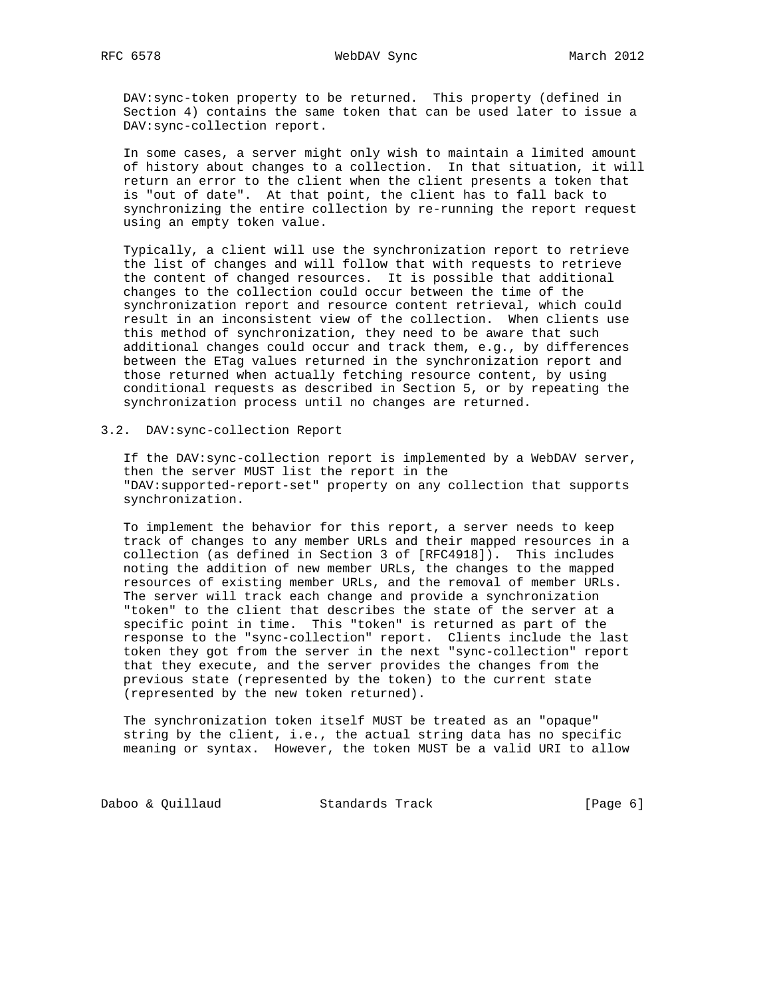DAV:sync-token property to be returned. This property (defined in Section 4) contains the same token that can be used later to issue a DAV:sync-collection report.

 In some cases, a server might only wish to maintain a limited amount of history about changes to a collection. In that situation, it will return an error to the client when the client presents a token that is "out of date". At that point, the client has to fall back to synchronizing the entire collection by re-running the report request using an empty token value.

 Typically, a client will use the synchronization report to retrieve the list of changes and will follow that with requests to retrieve the content of changed resources. It is possible that additional changes to the collection could occur between the time of the synchronization report and resource content retrieval, which could result in an inconsistent view of the collection. When clients use this method of synchronization, they need to be aware that such additional changes could occur and track them, e.g., by differences between the ETag values returned in the synchronization report and those returned when actually fetching resource content, by using conditional requests as described in Section 5, or by repeating the synchronization process until no changes are returned.

# 3.2. DAV:sync-collection Report

 If the DAV:sync-collection report is implemented by a WebDAV server, then the server MUST list the report in the "DAV:supported-report-set" property on any collection that supports synchronization.

 To implement the behavior for this report, a server needs to keep track of changes to any member URLs and their mapped resources in a collection (as defined in Section 3 of [RFC4918]). This includes noting the addition of new member URLs, the changes to the mapped resources of existing member URLs, and the removal of member URLs. The server will track each change and provide a synchronization "token" to the client that describes the state of the server at a specific point in time. This "token" is returned as part of the response to the "sync-collection" report. Clients include the last token they got from the server in the next "sync-collection" report that they execute, and the server provides the changes from the previous state (represented by the token) to the current state (represented by the new token returned).

 The synchronization token itself MUST be treated as an "opaque" string by the client, i.e., the actual string data has no specific meaning or syntax. However, the token MUST be a valid URI to allow

Daboo & Quillaud Standards Track [Page 6]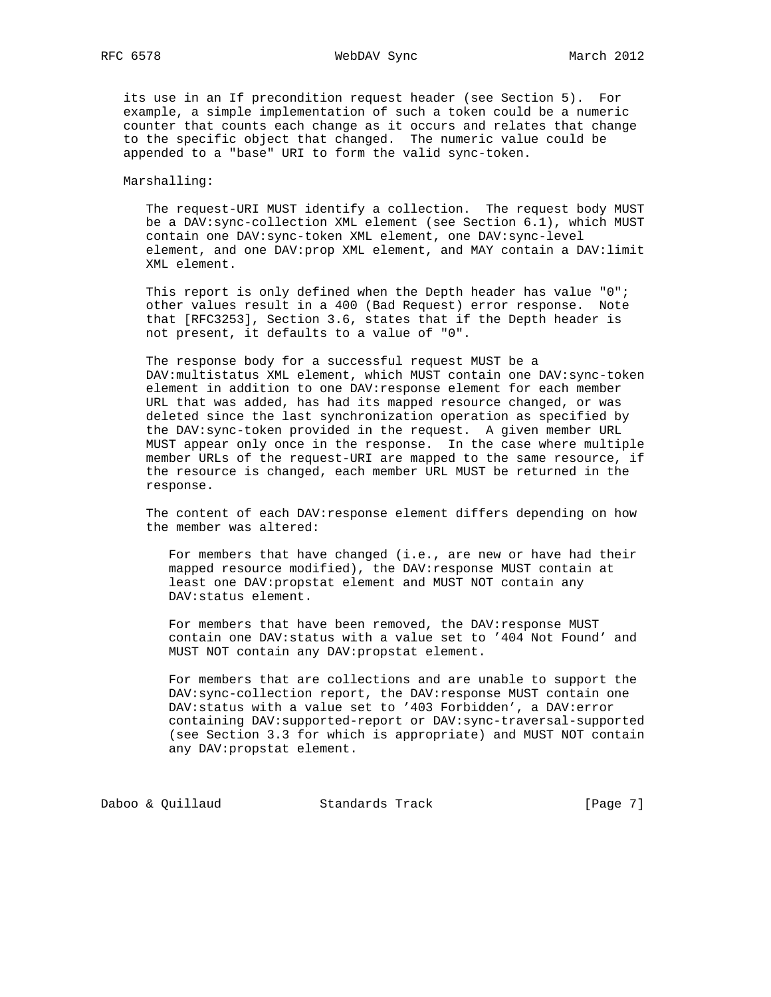RFC 6578 WebDAV Sync March 2012

 its use in an If precondition request header (see Section 5). For example, a simple implementation of such a token could be a numeric counter that counts each change as it occurs and relates that change to the specific object that changed. The numeric value could be appended to a "base" URI to form the valid sync-token.

### Marshalling:

 The request-URI MUST identify a collection. The request body MUST be a DAV:sync-collection XML element (see Section 6.1), which MUST contain one DAV:sync-token XML element, one DAV:sync-level element, and one DAV:prop XML element, and MAY contain a DAV:limit XML element.

 This report is only defined when the Depth header has value "0"; other values result in a 400 (Bad Request) error response. Note that [RFC3253], Section 3.6, states that if the Depth header is not present, it defaults to a value of "0".

 The response body for a successful request MUST be a DAV:multistatus XML element, which MUST contain one DAV:sync-token element in addition to one DAV: response element for each member URL that was added, has had its mapped resource changed, or was deleted since the last synchronization operation as specified by the DAV:sync-token provided in the request. A given member URL MUST appear only once in the response. In the case where multiple member URLs of the request-URI are mapped to the same resource, if the resource is changed, each member URL MUST be returned in the response.

The content of each DAV: response element differs depending on how the member was altered:

 For members that have changed (i.e., are new or have had their mapped resource modified), the DAV:response MUST contain at least one DAV:propstat element and MUST NOT contain any DAV:status element.

For members that have been removed, the DAV: response MUST contain one DAV:status with a value set to '404 Not Found' and MUST NOT contain any DAV:propstat element.

 For members that are collections and are unable to support the DAV:sync-collection report, the DAV:response MUST contain one DAV:status with a value set to '403 Forbidden', a DAV:error containing DAV:supported-report or DAV:sync-traversal-supported (see Section 3.3 for which is appropriate) and MUST NOT contain any DAV:propstat element.

Daboo & Quillaud Standards Track [Page 7]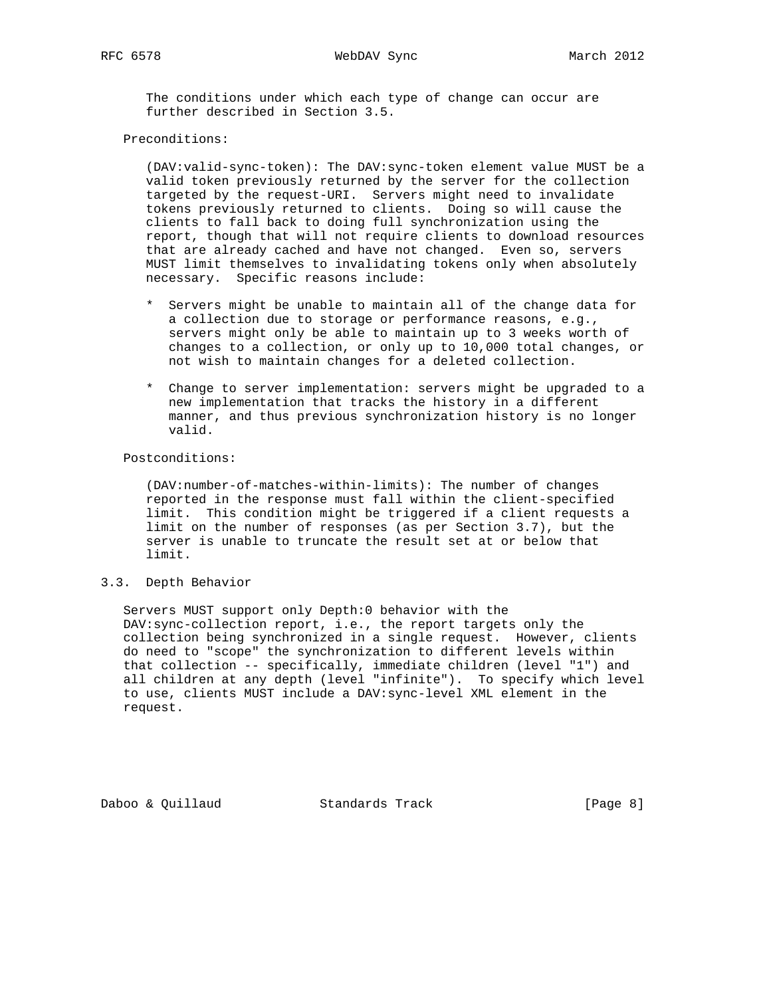The conditions under which each type of change can occur are further described in Section 3.5.

### Preconditions:

 (DAV:valid-sync-token): The DAV:sync-token element value MUST be a valid token previously returned by the server for the collection targeted by the request-URI. Servers might need to invalidate tokens previously returned to clients. Doing so will cause the clients to fall back to doing full synchronization using the report, though that will not require clients to download resources that are already cached and have not changed. Even so, servers MUST limit themselves to invalidating tokens only when absolutely necessary. Specific reasons include:

- \* Servers might be unable to maintain all of the change data for a collection due to storage or performance reasons, e.g., servers might only be able to maintain up to 3 weeks worth of changes to a collection, or only up to 10,000 total changes, or not wish to maintain changes for a deleted collection.
- \* Change to server implementation: servers might be upgraded to a new implementation that tracks the history in a different manner, and thus previous synchronization history is no longer valid.

### Postconditions:

 (DAV:number-of-matches-within-limits): The number of changes reported in the response must fall within the client-specified limit. This condition might be triggered if a client requests a limit on the number of responses (as per Section 3.7), but the server is unable to truncate the result set at or below that limit.

## 3.3. Depth Behavior

 Servers MUST support only Depth:0 behavior with the DAV:sync-collection report, i.e., the report targets only the collection being synchronized in a single request. However, clients do need to "scope" the synchronization to different levels within that collection -- specifically, immediate children (level "1") and all children at any depth (level "infinite"). To specify which level to use, clients MUST include a DAV:sync-level XML element in the request.

Daboo & Quillaud Standards Track [Page 8]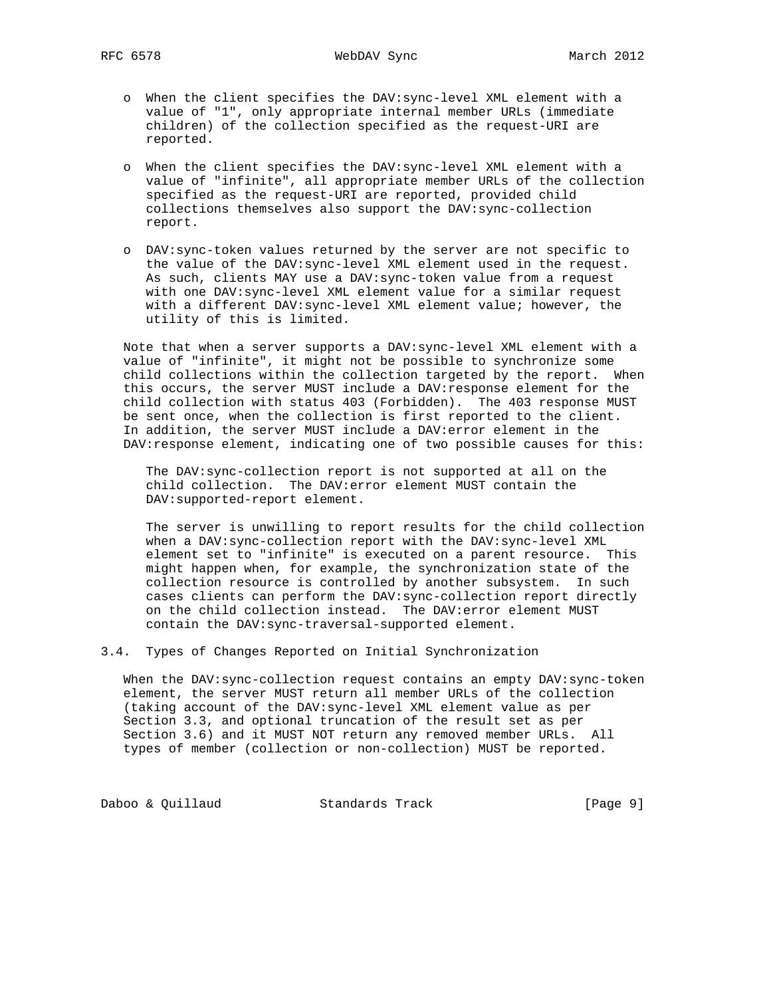- o When the client specifies the DAV:sync-level XML element with a value of "1", only appropriate internal member URLs (immediate children) of the collection specified as the request-URI are reported.
- o When the client specifies the DAV:sync-level XML element with a value of "infinite", all appropriate member URLs of the collection specified as the request-URI are reported, provided child collections themselves also support the DAV:sync-collection report.
- o DAV:sync-token values returned by the server are not specific to the value of the DAV:sync-level XML element used in the request. As such, clients MAY use a DAV:sync-token value from a request with one DAV:sync-level XML element value for a similar request with a different DAV:sync-level XML element value; however, the utility of this is limited.

 Note that when a server supports a DAV:sync-level XML element with a value of "infinite", it might not be possible to synchronize some child collections within the collection targeted by the report. When this occurs, the server MUST include a DAV:response element for the child collection with status 403 (Forbidden). The 403 response MUST be sent once, when the collection is first reported to the client. In addition, the server MUST include a DAV:error element in the DAV:response element, indicating one of two possible causes for this:

 The DAV:sync-collection report is not supported at all on the child collection. The DAV:error element MUST contain the DAV:supported-report element.

 The server is unwilling to report results for the child collection when a DAV:sync-collection report with the DAV:sync-level XML element set to "infinite" is executed on a parent resource. This might happen when, for example, the synchronization state of the collection resource is controlled by another subsystem. In such cases clients can perform the DAV:sync-collection report directly on the child collection instead. The DAV:error element MUST contain the DAV:sync-traversal-supported element.

3.4. Types of Changes Reported on Initial Synchronization

When the DAV: sync-collection request contains an empty DAV: sync-token element, the server MUST return all member URLs of the collection (taking account of the DAV:sync-level XML element value as per Section 3.3, and optional truncation of the result set as per Section 3.6) and it MUST NOT return any removed member URLs. All types of member (collection or non-collection) MUST be reported.

Daboo & Quillaud Standards Track [Page 9]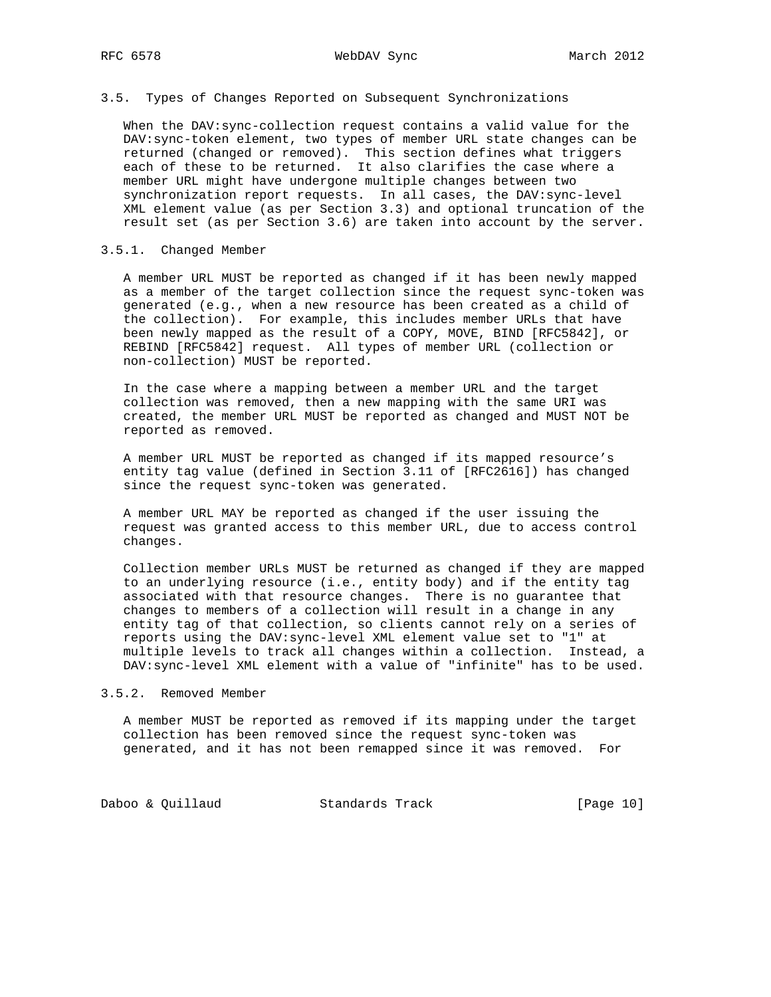### 3.5. Types of Changes Reported on Subsequent Synchronizations

 When the DAV:sync-collection request contains a valid value for the DAV:sync-token element, two types of member URL state changes can be returned (changed or removed). This section defines what triggers each of these to be returned. It also clarifies the case where a member URL might have undergone multiple changes between two synchronization report requests. In all cases, the DAV:sync-level XML element value (as per Section 3.3) and optional truncation of the result set (as per Section 3.6) are taken into account by the server.

### 3.5.1. Changed Member

 A member URL MUST be reported as changed if it has been newly mapped as a member of the target collection since the request sync-token was generated (e.g., when a new resource has been created as a child of the collection). For example, this includes member URLs that have been newly mapped as the result of a COPY, MOVE, BIND [RFC5842], or REBIND [RFC5842] request. All types of member URL (collection or non-collection) MUST be reported.

 In the case where a mapping between a member URL and the target collection was removed, then a new mapping with the same URI was created, the member URL MUST be reported as changed and MUST NOT be reported as removed.

 A member URL MUST be reported as changed if its mapped resource's entity tag value (defined in Section 3.11 of [RFC2616]) has changed since the request sync-token was generated.

 A member URL MAY be reported as changed if the user issuing the request was granted access to this member URL, due to access control changes.

 Collection member URLs MUST be returned as changed if they are mapped to an underlying resource (i.e., entity body) and if the entity tag associated with that resource changes. There is no guarantee that changes to members of a collection will result in a change in any entity tag of that collection, so clients cannot rely on a series of reports using the DAV:sync-level XML element value set to "1" at multiple levels to track all changes within a collection. Instead, a DAV:sync-level XML element with a value of "infinite" has to be used.

### 3.5.2. Removed Member

 A member MUST be reported as removed if its mapping under the target collection has been removed since the request sync-token was generated, and it has not been remapped since it was removed. For

Daboo & Quillaud Standards Track [Page 10]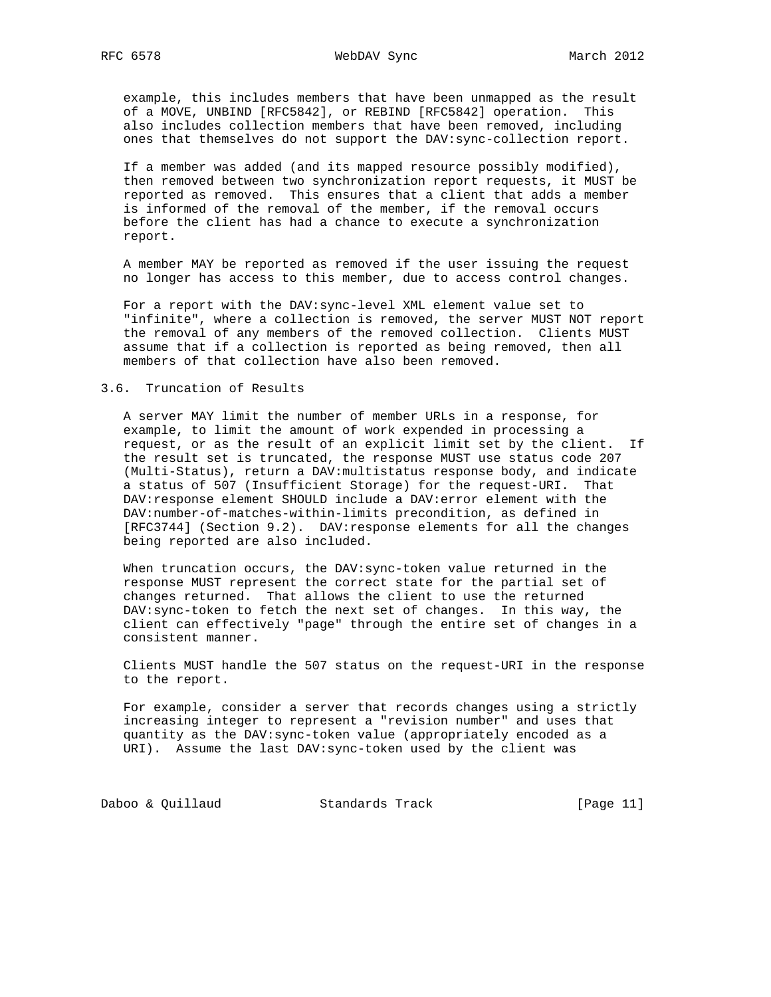example, this includes members that have been unmapped as the result of a MOVE, UNBIND [RFC5842], or REBIND [RFC5842] operation. This also includes collection members that have been removed, including ones that themselves do not support the DAV:sync-collection report.

 If a member was added (and its mapped resource possibly modified), then removed between two synchronization report requests, it MUST be reported as removed. This ensures that a client that adds a member is informed of the removal of the member, if the removal occurs before the client has had a chance to execute a synchronization report.

 A member MAY be reported as removed if the user issuing the request no longer has access to this member, due to access control changes.

 For a report with the DAV:sync-level XML element value set to "infinite", where a collection is removed, the server MUST NOT report the removal of any members of the removed collection. Clients MUST assume that if a collection is reported as being removed, then all members of that collection have also been removed.

### 3.6. Truncation of Results

 A server MAY limit the number of member URLs in a response, for example, to limit the amount of work expended in processing a request, or as the result of an explicit limit set by the client. If the result set is truncated, the response MUST use status code 207 (Multi-Status), return a DAV:multistatus response body, and indicate a status of 507 (Insufficient Storage) for the request-URI. That DAV:response element SHOULD include a DAV:error element with the DAV:number-of-matches-within-limits precondition, as defined in [RFC3744] (Section 9.2). DAV:response elements for all the changes being reported are also included.

 When truncation occurs, the DAV:sync-token value returned in the response MUST represent the correct state for the partial set of changes returned. That allows the client to use the returned DAV:sync-token to fetch the next set of changes. In this way, the client can effectively "page" through the entire set of changes in a consistent manner.

 Clients MUST handle the 507 status on the request-URI in the response to the report.

 For example, consider a server that records changes using a strictly increasing integer to represent a "revision number" and uses that quantity as the DAV:sync-token value (appropriately encoded as a URI). Assume the last DAV:sync-token used by the client was

Daboo & Quillaud Standards Track [Page 11]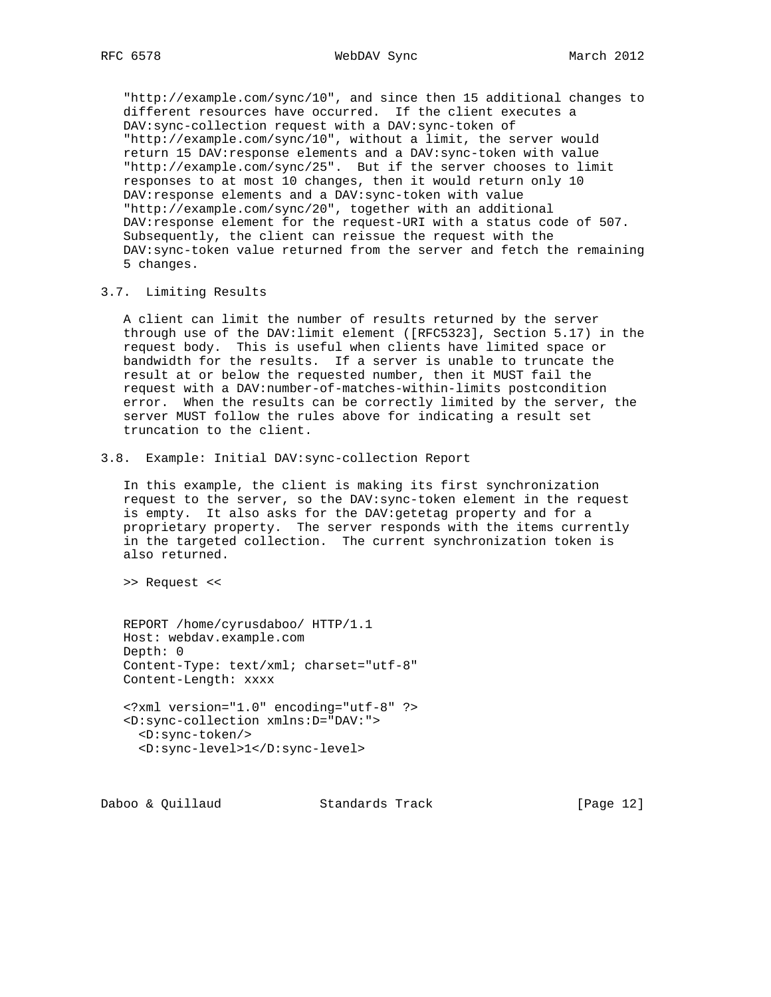"http://example.com/sync/10", and since then 15 additional changes to different resources have occurred. If the client executes a DAV:sync-collection request with a DAV:sync-token of "http://example.com/sync/10", without a limit, the server would return 15 DAV:response elements and a DAV:sync-token with value "http://example.com/sync/25". But if the server chooses to limit responses to at most 10 changes, then it would return only 10 DAV:response elements and a DAV:sync-token with value "http://example.com/sync/20", together with an additional DAV:response element for the request-URI with a status code of 507. Subsequently, the client can reissue the request with the DAV:sync-token value returned from the server and fetch the remaining 5 changes.

### 3.7. Limiting Results

 A client can limit the number of results returned by the server through use of the DAV:limit element ([RFC5323], Section 5.17) in the request body. This is useful when clients have limited space or bandwidth for the results. If a server is unable to truncate the result at or below the requested number, then it MUST fail the request with a DAV:number-of-matches-within-limits postcondition error. When the results can be correctly limited by the server, the server MUST follow the rules above for indicating a result set truncation to the client.

3.8. Example: Initial DAV:sync-collection Report

 In this example, the client is making its first synchronization request to the server, so the DAV:sync-token element in the request is empty. It also asks for the DAV:getetag property and for a proprietary property. The server responds with the items currently in the targeted collection. The current synchronization token is also returned.

>> Request <<

 REPORT /home/cyrusdaboo/ HTTP/1.1 Host: webdav.example.com Depth: 0 Content-Type: text/xml; charset="utf-8" Content-Length: xxxx <?xml version="1.0" encoding="utf-8" ?>

 <D:sync-collection xmlns:D="DAV:"> <D:sync-token/> <D:sync-level>1</D:sync-level>

Daboo & Quillaud Standards Track [Page 12]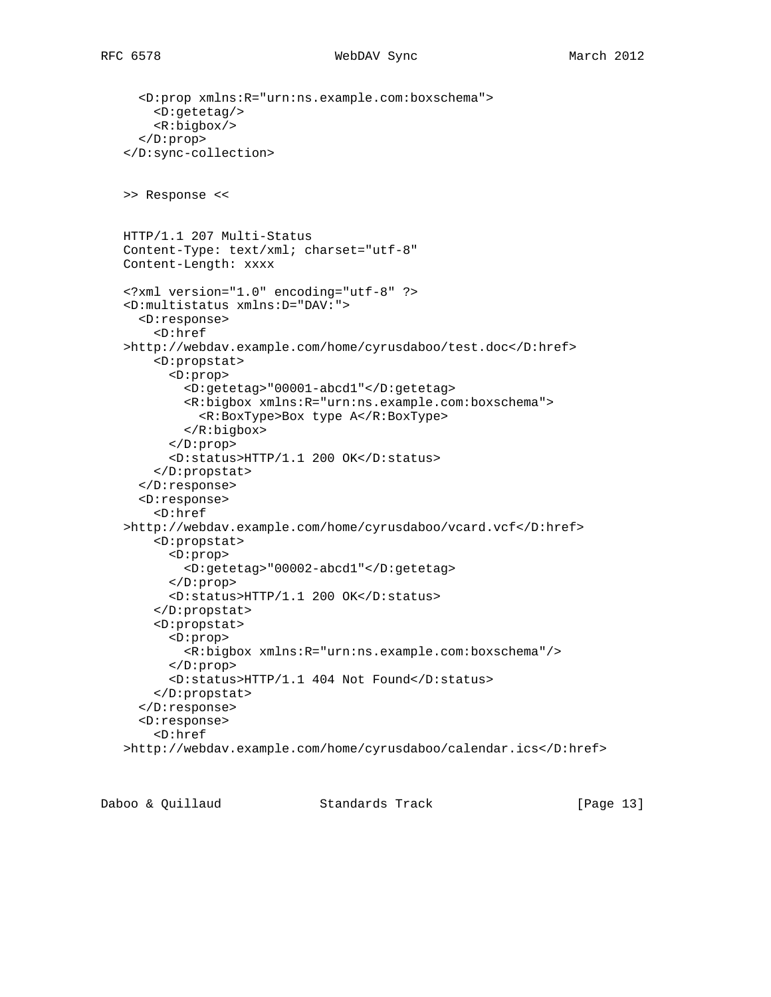```
 <D:prop xmlns:R="urn:ns.example.com:boxschema">
     <D:getetag/>
     <R:bigbox/>
   </D:prop>
 </D:sync-collection>
 >> Response <<
 HTTP/1.1 207 Multi-Status
 Content-Type: text/xml; charset="utf-8"
 Content-Length: xxxx
 <?xml version="1.0" encoding="utf-8" ?>
 <D:multistatus xmlns:D="DAV:">
   <D:response>
     <D:href
 >http://webdav.example.com/home/cyrusdaboo/test.doc</D:href>
     <D:propstat>
       <D:prop>
         <D:getetag>"00001-abcd1"</D:getetag>
         <R:bigbox xmlns:R="urn:ns.example.com:boxschema">
           <R:BoxType>Box type A</R:BoxType>
         </R:bigbox>
       </D:prop>
       <D:status>HTTP/1.1 200 OK</D:status>
     </D:propstat>
   </D:response>
   <D:response>
     <D:href
 >http://webdav.example.com/home/cyrusdaboo/vcard.vcf</D:href>
     <D:propstat>
       <D:prop>
         <D:getetag>"00002-abcd1"</D:getetag>
       </D:prop>
       <D:status>HTTP/1.1 200 OK</D:status>
     </D:propstat>
     <D:propstat>
       <D:prop>
         <R:bigbox xmlns:R="urn:ns.example.com:boxschema"/>
       </D:prop>
       <D:status>HTTP/1.1 404 Not Found</D:status>
     </D:propstat>
   </D:response>
   <D:response>
     <D:href
 >http://webdav.example.com/home/cyrusdaboo/calendar.ics</D:href>
```
Daboo & Quillaud Standards Track [Page 13]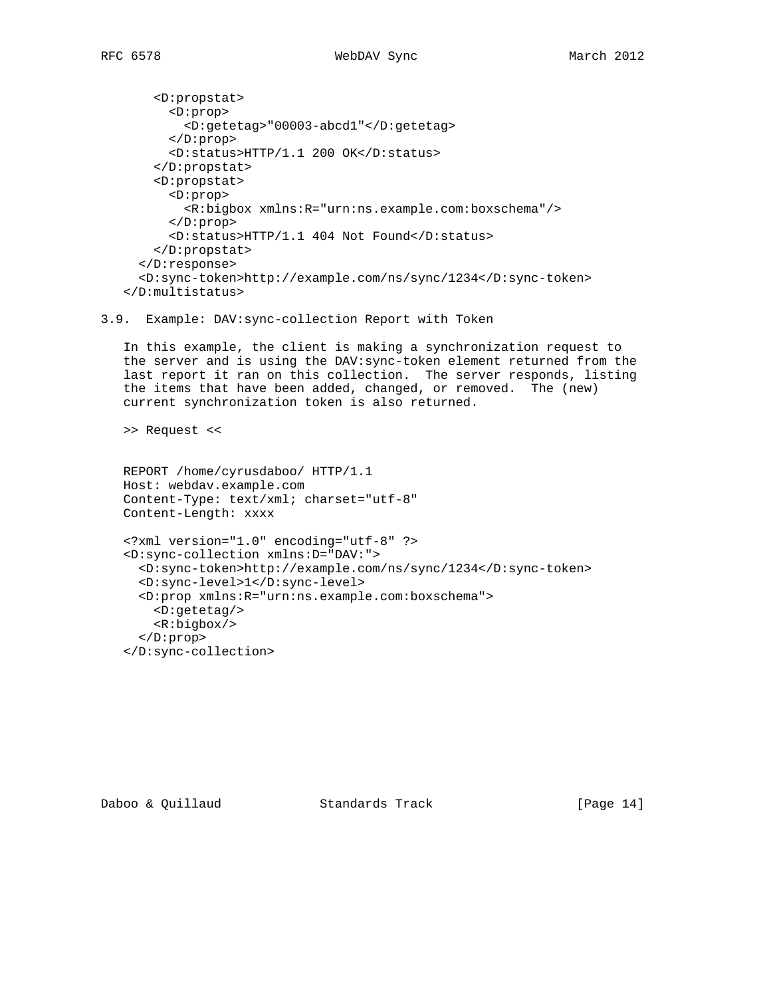<D:propstat> <D:prop> <D:getetag>"00003-abcd1"</D:getetag> </D:prop> <D:status>HTTP/1.1 200 OK</D:status> </D:propstat> <D:propstat> <D:prop> <R:bigbox xmlns:R="urn:ns.example.com:boxschema"/> </D:prop> <D:status>HTTP/1.1 404 Not Found</D:status> </D:propstat> </D:response> <D:sync-token>http://example.com/ns/sync/1234</D:sync-token> </D:multistatus>

```
3.9. Example: DAV:sync-collection Report with Token
```
 In this example, the client is making a synchronization request to the server and is using the DAV:sync-token element returned from the last report it ran on this collection. The server responds, listing the items that have been added, changed, or removed. The (new) current synchronization token is also returned.

>> Request <<

```
 REPORT /home/cyrusdaboo/ HTTP/1.1
 Host: webdav.example.com
 Content-Type: text/xml; charset="utf-8"
 Content-Length: xxxx
 <?xml version="1.0" encoding="utf-8" ?>
 <D:sync-collection xmlns:D="DAV:">
   <D:sync-token>http://example.com/ns/sync/1234</D:sync-token>
   <D:sync-level>1</D:sync-level>
   <D:prop xmlns:R="urn:ns.example.com:boxschema">
     <D:getetag/>
     <R:bigbox/>
   </D:prop>
 </D:sync-collection>
```
Daboo & Quillaud Standards Track [Page 14]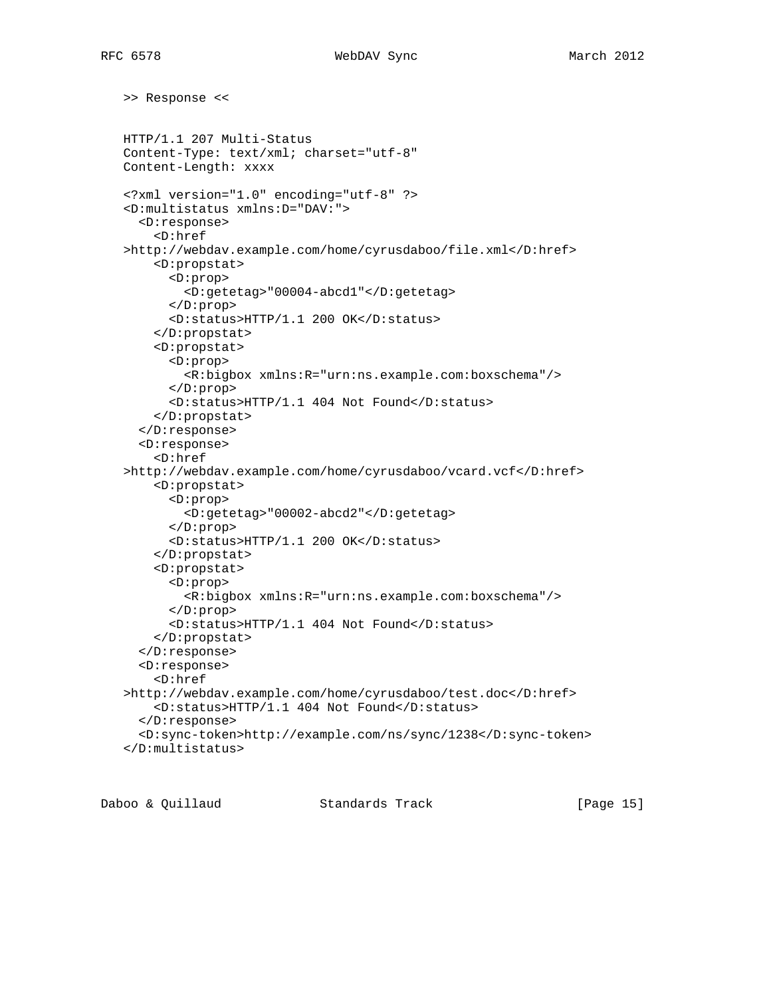```
 >> Response <<
 HTTP/1.1 207 Multi-Status
 Content-Type: text/xml; charset="utf-8"
 Content-Length: xxxx
 <?xml version="1.0" encoding="utf-8" ?>
 <D:multistatus xmlns:D="DAV:">
   <D:response>
     <D:href
 >http://webdav.example.com/home/cyrusdaboo/file.xml</D:href>
     <D:propstat>
       <D:prop>
         <D:getetag>"00004-abcd1"</D:getetag>
       </D:prop>
       <D:status>HTTP/1.1 200 OK</D:status>
     </D:propstat>
     <D:propstat>
       <D:prop>
         <R:bigbox xmlns:R="urn:ns.example.com:boxschema"/>
       </D:prop>
       <D:status>HTTP/1.1 404 Not Found</D:status>
     </D:propstat>
   </D:response>
   <D:response>
     <D:href
 >http://webdav.example.com/home/cyrusdaboo/vcard.vcf</D:href>
     <D:propstat>
       <D:prop>
         <D:getetag>"00002-abcd2"</D:getetag>
       </D:prop>
       <D:status>HTTP/1.1 200 OK</D:status>
     </D:propstat>
     <D:propstat>
       <D:prop>
         <R:bigbox xmlns:R="urn:ns.example.com:boxschema"/>
       </D:prop>
       <D:status>HTTP/1.1 404 Not Found</D:status>
     </D:propstat>
   </D:response>
   <D:response>
     <D:href
 >http://webdav.example.com/home/cyrusdaboo/test.doc</D:href>
     <D:status>HTTP/1.1 404 Not Found</D:status>
   </D:response>
   <D:sync-token>http://example.com/ns/sync/1238</D:sync-token>
 </D:multistatus>
```
Daboo & Quillaud Standards Track [Page 15]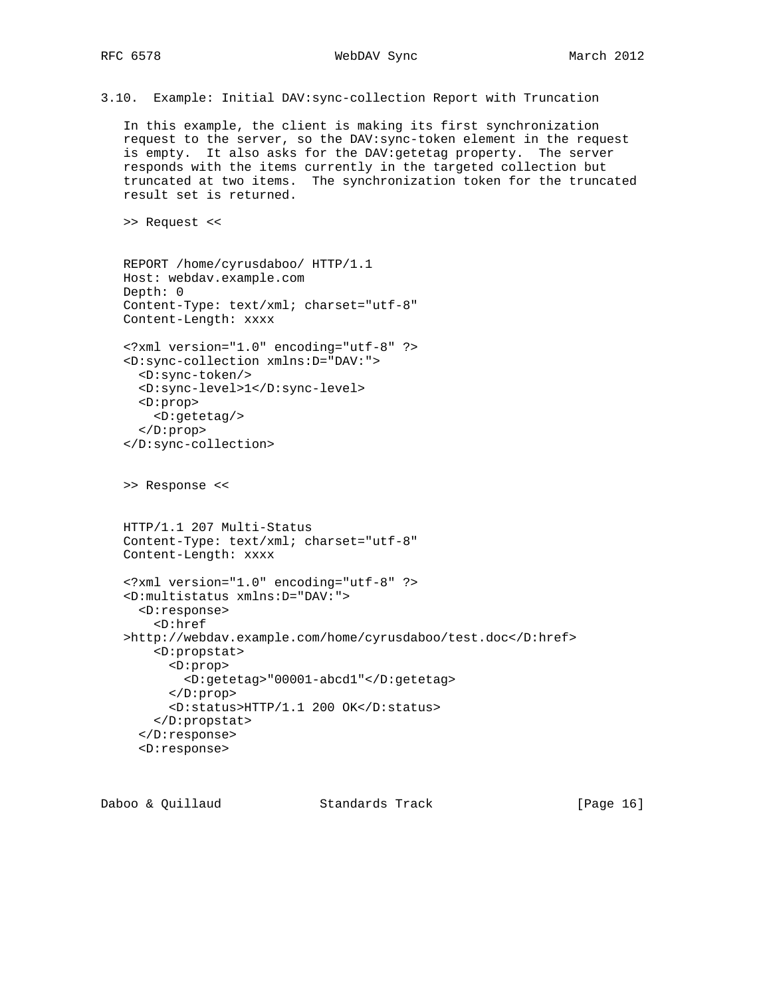RFC 6578 WebDAV Sync March 2012

3.10. Example: Initial DAV:sync-collection Report with Truncation

 In this example, the client is making its first synchronization request to the server, so the DAV:sync-token element in the request is empty. It also asks for the DAV:getetag property. The server responds with the items currently in the targeted collection but truncated at two items. The synchronization token for the truncated result set is returned.

>> Request <<

```
 REPORT /home/cyrusdaboo/ HTTP/1.1
 Host: webdav.example.com
 Depth: 0
 Content-Type: text/xml; charset="utf-8"
 Content-Length: xxxx
 <?xml version="1.0" encoding="utf-8" ?>
 <D:sync-collection xmlns:D="DAV:">
  <D:sync-token/>
   <D:sync-level>1</D:sync-level>
   <D:prop>
     <D:getetag/>
   </D:prop>
 </D:sync-collection>
 >> Response <<
 HTTP/1.1 207 Multi-Status
 Content-Type: text/xml; charset="utf-8"
 Content-Length: xxxx
 <?xml version="1.0" encoding="utf-8" ?>
 <D:multistatus xmlns:D="DAV:">
   <D:response>
     <D:href
 >http://webdav.example.com/home/cyrusdaboo/test.doc</D:href>
     <D:propstat>
       <D:prop>
         <D:getetag>"00001-abcd1"</D:getetag>
       </D:prop>
       <D:status>HTTP/1.1 200 OK</D:status>
     </D:propstat>
   </D:response>
   <D:response>
```

| Daboo & Quillaud | Standards Track | [Page 16] |
|------------------|-----------------|-----------|
|                  |                 |           |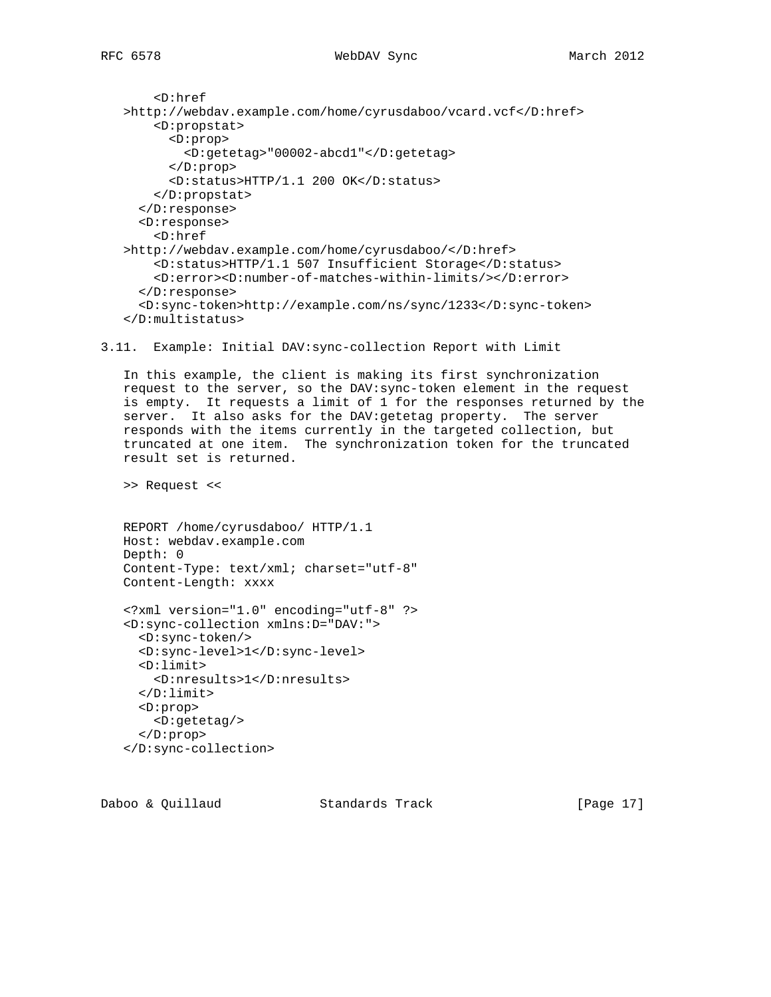```
 <D:href
 >http://webdav.example.com/home/cyrusdaboo/vcard.vcf</D:href>
     <D:propstat>
       <D:prop>
         <D:getetag>"00002-abcd1"</D:getetag>
       </D:prop>
       <D:status>HTTP/1.1 200 OK</D:status>
     </D:propstat>
   </D:response>
   <D:response>
     <D:href
 >http://webdav.example.com/home/cyrusdaboo/</D:href>
    <D:status>HTTP/1.1 507 Insufficient Storage</D:status>
     <D:error><D:number-of-matches-within-limits/></D:error>
   </D:response>
   <D:sync-token>http://example.com/ns/sync/1233</D:sync-token>
 </D:multistatus>
```
3.11. Example: Initial DAV:sync-collection Report with Limit

 In this example, the client is making its first synchronization request to the server, so the DAV:sync-token element in the request is empty. It requests a limit of 1 for the responses returned by the server. It also asks for the DAV:getetag property. The server responds with the items currently in the targeted collection, but truncated at one item. The synchronization token for the truncated result set is returned.

>> Request <<

```
 REPORT /home/cyrusdaboo/ HTTP/1.1
 Host: webdav.example.com
 Depth: 0
 Content-Type: text/xml; charset="utf-8"
 Content-Length: xxxx
```

```
 <?xml version="1.0" encoding="utf-8" ?>
 <D:sync-collection xmlns:D="DAV:">
  <D:sync-token/>
   <D:sync-level>1</D:sync-level>
   <D:limit>
     <D:nresults>1</D:nresults>
   </D:limit>
   <D:prop>
    <D:getetag/>
   </D:prop>
 </D:sync-collection>
```
Daboo & Quillaud Standards Track [Page 17]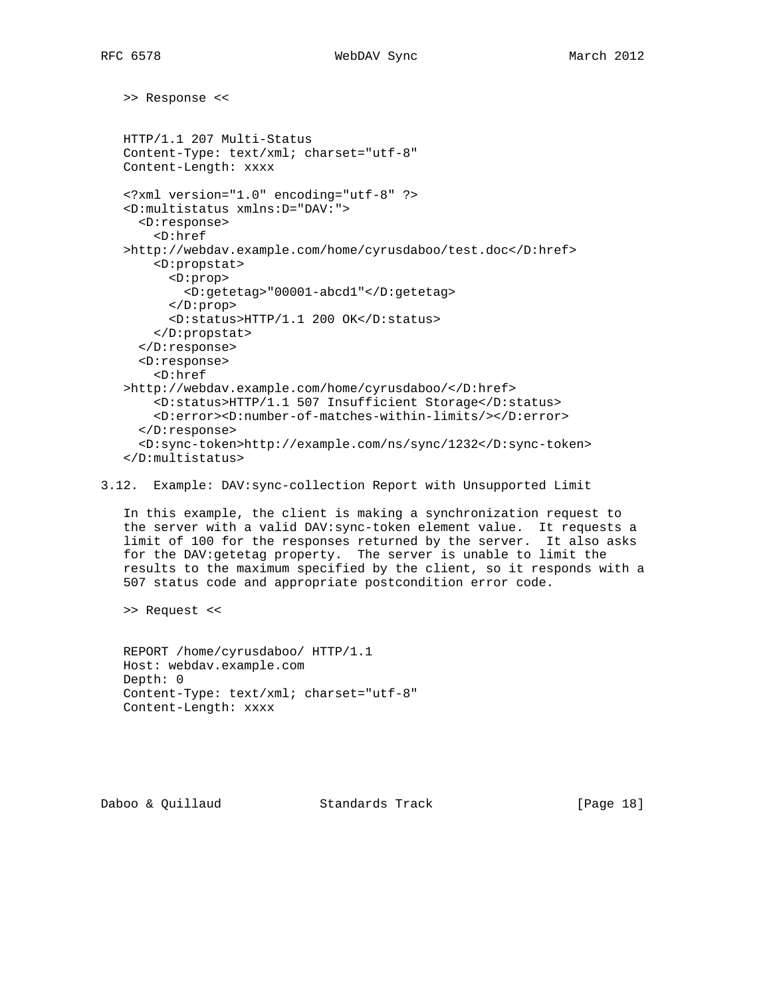>> Response <<

```
 HTTP/1.1 207 Multi-Status
 Content-Type: text/xml; charset="utf-8"
 Content-Length: xxxx
 <?xml version="1.0" encoding="utf-8" ?>
 <D:multistatus xmlns:D="DAV:">
   <D:response>
     <D:href
 >http://webdav.example.com/home/cyrusdaboo/test.doc</D:href>
     <D:propstat>
       <D:prop>
         <D:getetag>"00001-abcd1"</D:getetag>
       </D:prop>
       <D:status>HTTP/1.1 200 OK</D:status>
     </D:propstat>
   </D:response>
   <D:response>
     <D:href
 >http://webdav.example.com/home/cyrusdaboo/</D:href>
     <D:status>HTTP/1.1 507 Insufficient Storage</D:status>
     <D:error><D:number-of-matches-within-limits/></D:error>
   </D:response>
   <D:sync-token>http://example.com/ns/sync/1232</D:sync-token>
 </D:multistatus>
```
3.12. Example: DAV:sync-collection Report with Unsupported Limit

 In this example, the client is making a synchronization request to the server with a valid DAV:sync-token element value. It requests a limit of 100 for the responses returned by the server. It also asks for the DAV:getetag property. The server is unable to limit the results to the maximum specified by the client, so it responds with a 507 status code and appropriate postcondition error code.

>> Request <<

 REPORT /home/cyrusdaboo/ HTTP/1.1 Host: webdav.example.com Depth: 0 Content-Type: text/xml; charset="utf-8" Content-Length: xxxx

Daboo & Quillaud Standards Track [Page 18]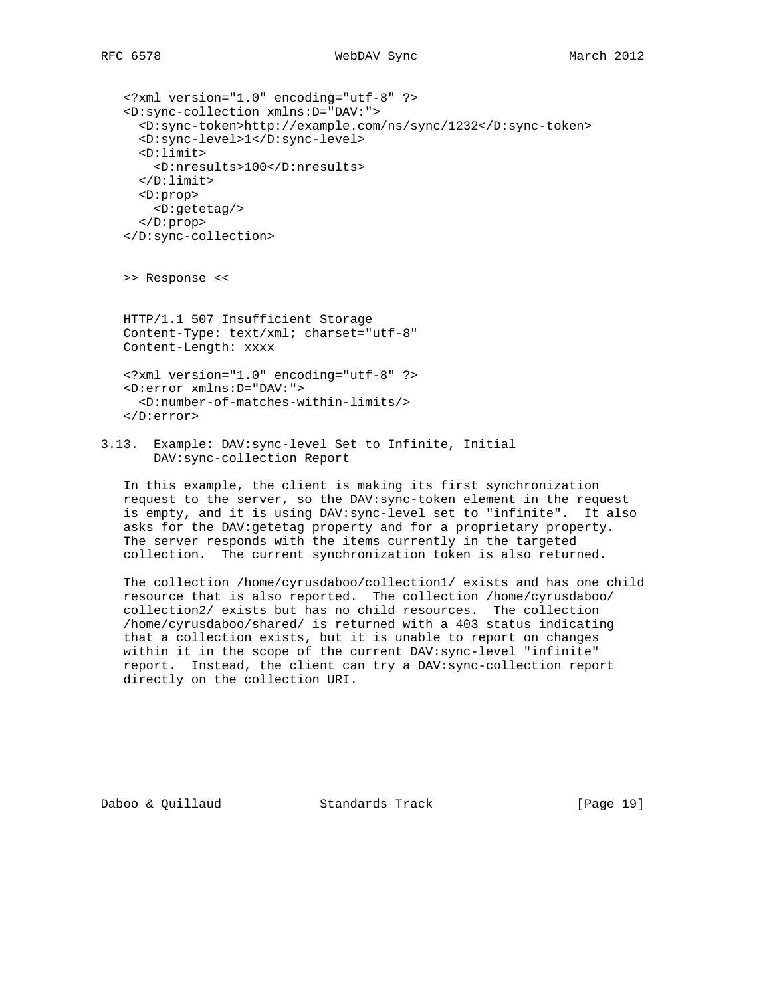```
 <?xml version="1.0" encoding="utf-8" ?>
 <D:sync-collection xmlns:D="DAV:">
   <D:sync-token>http://example.com/ns/sync/1232</D:sync-token>
   <D:sync-level>1</D:sync-level>
   <D:limit>
     <D:nresults>100</D:nresults>
   </D:limit>
   <D:prop>
     <D:getetag/>
   </D:prop>
 </D:sync-collection>
```
>> Response <<

 HTTP/1.1 507 Insufficient Storage Content-Type: text/xml; charset="utf-8" Content-Length: xxxx

```
 <?xml version="1.0" encoding="utf-8" ?>
 <D:error xmlns:D="DAV:">
   <D:number-of-matches-within-limits/>
 </D:error>
```
3.13. Example: DAV:sync-level Set to Infinite, Initial DAV:sync-collection Report

 In this example, the client is making its first synchronization request to the server, so the DAV:sync-token element in the request is empty, and it is using DAV:sync-level set to "infinite". It also asks for the DAV:getetag property and for a proprietary property. The server responds with the items currently in the targeted collection. The current synchronization token is also returned.

 The collection /home/cyrusdaboo/collection1/ exists and has one child resource that is also reported. The collection /home/cyrusdaboo/ collection2/ exists but has no child resources. The collection /home/cyrusdaboo/shared/ is returned with a 403 status indicating that a collection exists, but it is unable to report on changes within it in the scope of the current DAV:sync-level "infinite" report. Instead, the client can try a DAV:sync-collection report directly on the collection URI.

Daboo & Quillaud Standards Track [Page 19]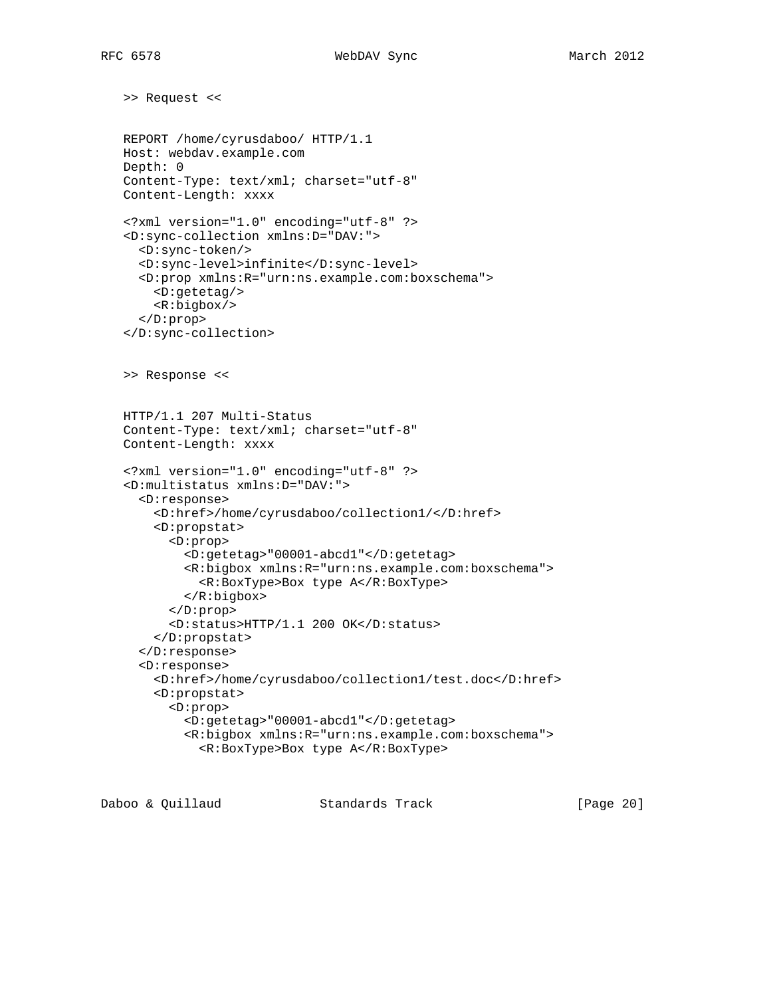>> Request << REPORT /home/cyrusdaboo/ HTTP/1.1 Host: webdav.example.com Depth: 0 Content-Type: text/xml; charset="utf-8" Content-Length: xxxx <?xml version="1.0" encoding="utf-8" ?> <D:sync-collection xmlns:D="DAV:"> <D:sync-token/> <D:sync-level>infinite</D:sync-level> <D:prop xmlns:R="urn:ns.example.com:boxschema"> <D:getetag/> <R:bigbox/> </D:prop> </D:sync-collection> >> Response << HTTP/1.1 207 Multi-Status Content-Type: text/xml; charset="utf-8" Content-Length: xxxx <?xml version="1.0" encoding="utf-8" ?> <D:multistatus xmlns:D="DAV:"> <D:response> <D:href>/home/cyrusdaboo/collection1/</D:href> <D:propstat> <D:prop> <D:getetag>"00001-abcd1"</D:getetag> <R:bigbox xmlns:R="urn:ns.example.com:boxschema"> <R:BoxType>Box type A</R:BoxType> </R:bigbox> </D:prop> <D:status>HTTP/1.1 200 OK</D:status> </D:propstat> </D:response> <D:response> <D:href>/home/cyrusdaboo/collection1/test.doc</D:href> <D:propstat> <D:prop> <D:getetag>"00001-abcd1"</D:getetag> <R:bigbox xmlns:R="urn:ns.example.com:boxschema"> <R:BoxType>Box type A</R:BoxType>

Daboo & Quillaud Standards Track [Page 20]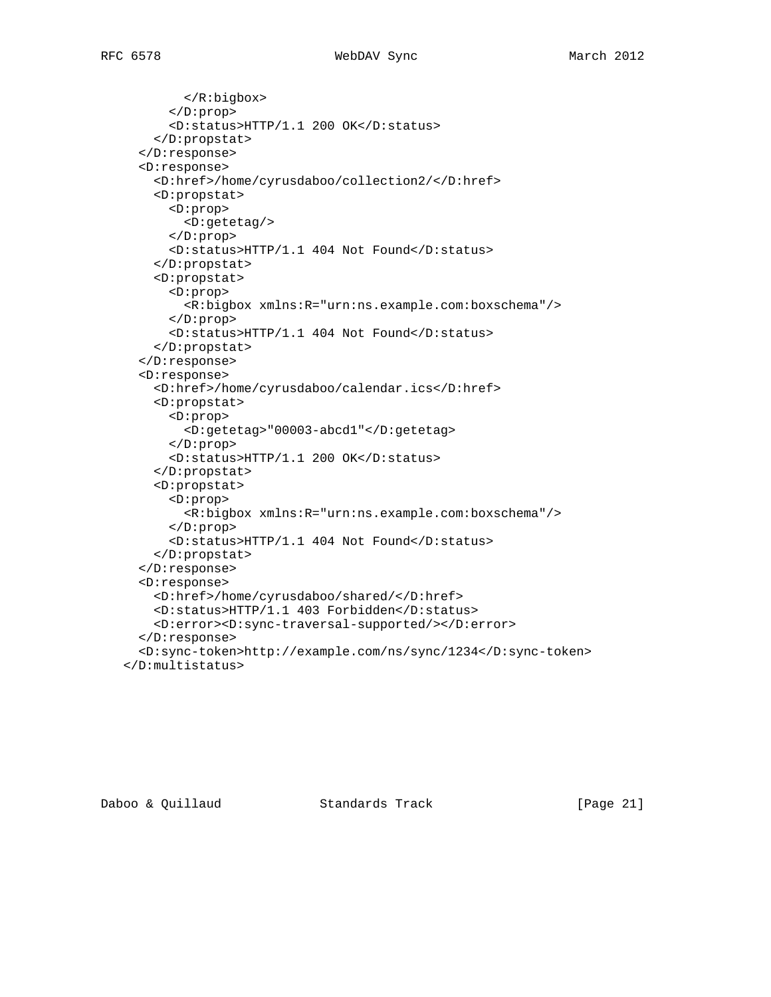```
 </R:bigbox>
       </D:prop>
       <D:status>HTTP/1.1 200 OK</D:status>
     </D:propstat>
   </D:response>
   <D:response>
     <D:href>/home/cyrusdaboo/collection2/</D:href>
     <D:propstat>
       <D:prop>
         <D:getetag/>
       </D:prop>
       <D:status>HTTP/1.1 404 Not Found</D:status>
     </D:propstat>
     <D:propstat>
       <D:prop>
         <R:bigbox xmlns:R="urn:ns.example.com:boxschema"/>
       </D:prop>
       <D:status>HTTP/1.1 404 Not Found</D:status>
     </D:propstat>
   </D:response>
   <D:response>
     <D:href>/home/cyrusdaboo/calendar.ics</D:href>
     <D:propstat>
       <D:prop>
         <D:getetag>"00003-abcd1"</D:getetag>
       </D:prop>
       <D:status>HTTP/1.1 200 OK</D:status>
     </D:propstat>
     <D:propstat>
       <D:prop>
         <R:bigbox xmlns:R="urn:ns.example.com:boxschema"/>
       </D:prop>
       <D:status>HTTP/1.1 404 Not Found</D:status>
     </D:propstat>
   </D:response>
   <D:response>
     <D:href>/home/cyrusdaboo/shared/</D:href>
     <D:status>HTTP/1.1 403 Forbidden</D:status>
     <D:error><D:sync-traversal-supported/></D:error>
   </D:response>
   <D:sync-token>http://example.com/ns/sync/1234</D:sync-token>
 </D:multistatus>
```
Daboo & Quillaud Standards Track [Page 21]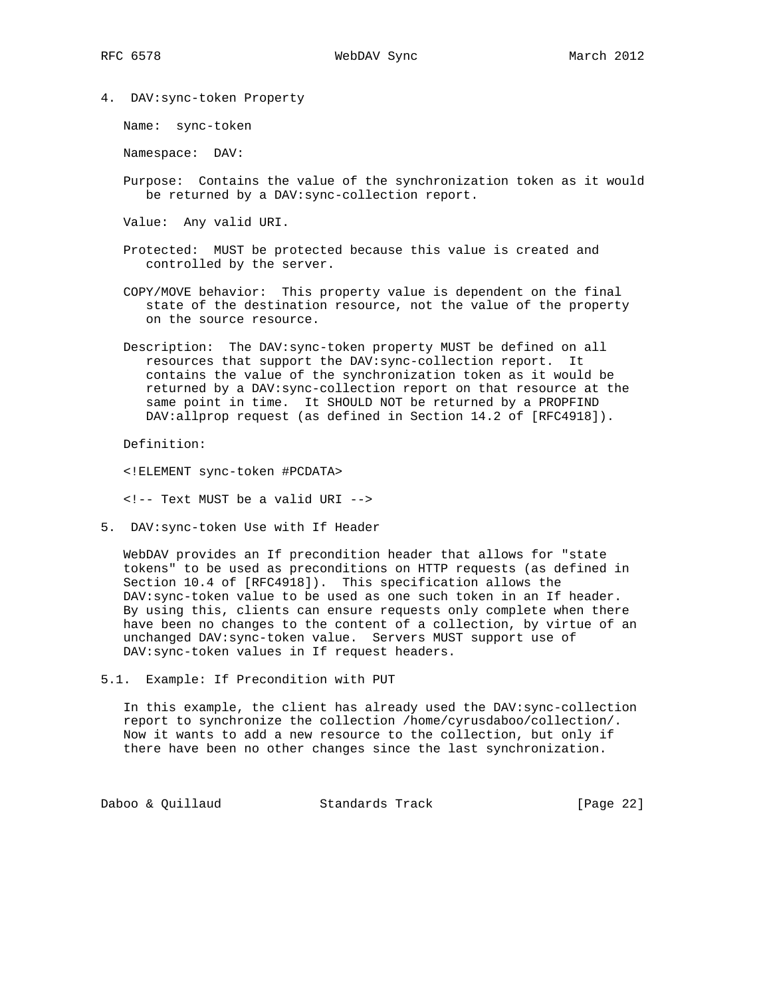4. DAV:sync-token Property

Name: sync-token

Namespace: DAV:

 Purpose: Contains the value of the synchronization token as it would be returned by a DAV:sync-collection report.

Value: Any valid URI.

- Protected: MUST be protected because this value is created and controlled by the server.
- COPY/MOVE behavior: This property value is dependent on the final state of the destination resource, not the value of the property on the source resource.
- Description: The DAV:sync-token property MUST be defined on all resources that support the DAV:sync-collection report. It contains the value of the synchronization token as it would be returned by a DAV:sync-collection report on that resource at the same point in time. It SHOULD NOT be returned by a PROPFIND DAV:allprop request (as defined in Section 14.2 of [RFC4918]).

Definition:

<!ELEMENT sync-token #PCDATA>

<!-- Text MUST be a valid URI -->

5. DAV:sync-token Use with If Header

 WebDAV provides an If precondition header that allows for "state tokens" to be used as preconditions on HTTP requests (as defined in Section 10.4 of [RFC4918]). This specification allows the DAV:sync-token value to be used as one such token in an If header. By using this, clients can ensure requests only complete when there have been no changes to the content of a collection, by virtue of an unchanged DAV:sync-token value. Servers MUST support use of DAV:sync-token values in If request headers.

5.1. Example: If Precondition with PUT

 In this example, the client has already used the DAV:sync-collection report to synchronize the collection /home/cyrusdaboo/collection/. Now it wants to add a new resource to the collection, but only if there have been no other changes since the last synchronization.

Daboo & Quillaud Standards Track [Page 22]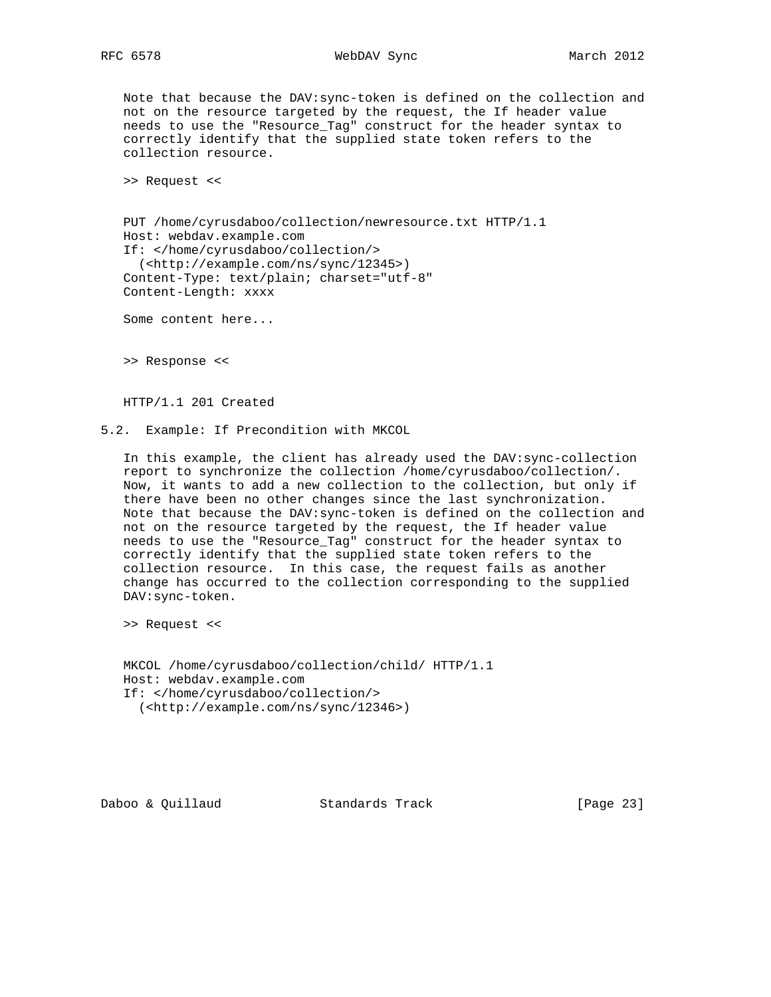### RFC 6578 WebDAV Sync March 2012

 Note that because the DAV:sync-token is defined on the collection and not on the resource targeted by the request, the If header value needs to use the "Resource\_Tag" construct for the header syntax to correctly identify that the supplied state token refers to the collection resource.

>> Request <<

 PUT /home/cyrusdaboo/collection/newresource.txt HTTP/1.1 Host: webdav.example.com If: </home/cyrusdaboo/collection/> (<http://example.com/ns/sync/12345>) Content-Type: text/plain; charset="utf-8" Content-Length: xxxx

Some content here...

>> Response <<

HTTP/1.1 201 Created

5.2. Example: If Precondition with MKCOL

 In this example, the client has already used the DAV:sync-collection report to synchronize the collection /home/cyrusdaboo/collection/. Now, it wants to add a new collection to the collection, but only if there have been no other changes since the last synchronization. Note that because the DAV:sync-token is defined on the collection and not on the resource targeted by the request, the If header value needs to use the "Resource\_Tag" construct for the header syntax to correctly identify that the supplied state token refers to the collection resource. In this case, the request fails as another change has occurred to the collection corresponding to the supplied DAV:sync-token.

>> Request <<

 MKCOL /home/cyrusdaboo/collection/child/ HTTP/1.1 Host: webdav.example.com If: </home/cyrusdaboo/collection/> (<http://example.com/ns/sync/12346>)

Daboo & Quillaud Standards Track [Page 23]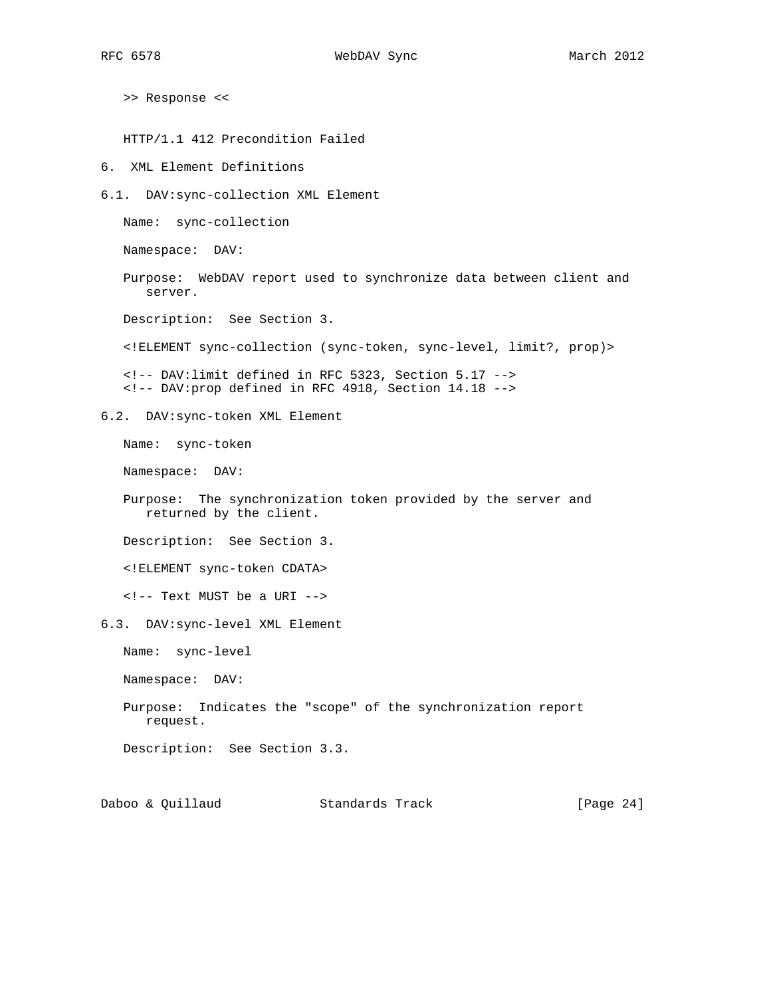>> Response <<

HTTP/1.1 412 Precondition Failed

6. XML Element Definitions

6.1. DAV:sync-collection XML Element

Name: sync-collection

Namespace: DAV:

 Purpose: WebDAV report used to synchronize data between client and server.

Description: See Section 3.

<!ELEMENT sync-collection (sync-token, sync-level, limit?, prop)>

 <!-- DAV:limit defined in RFC 5323, Section 5.17 --> <!-- DAV:prop defined in RFC 4918, Section 14.18 -->

6.2. DAV:sync-token XML Element

Name: sync-token

Namespace: DAV:

 Purpose: The synchronization token provided by the server and returned by the client.

Description: See Section 3.

<!ELEMENT sync-token CDATA>

<!-- Text MUST be a URI -->

6.3. DAV:sync-level XML Element

Name: sync-level

Namespace: DAV:

 Purpose: Indicates the "scope" of the synchronization report request.

Description: See Section 3.3.

Daboo & Quillaud Standards Track [Page 24]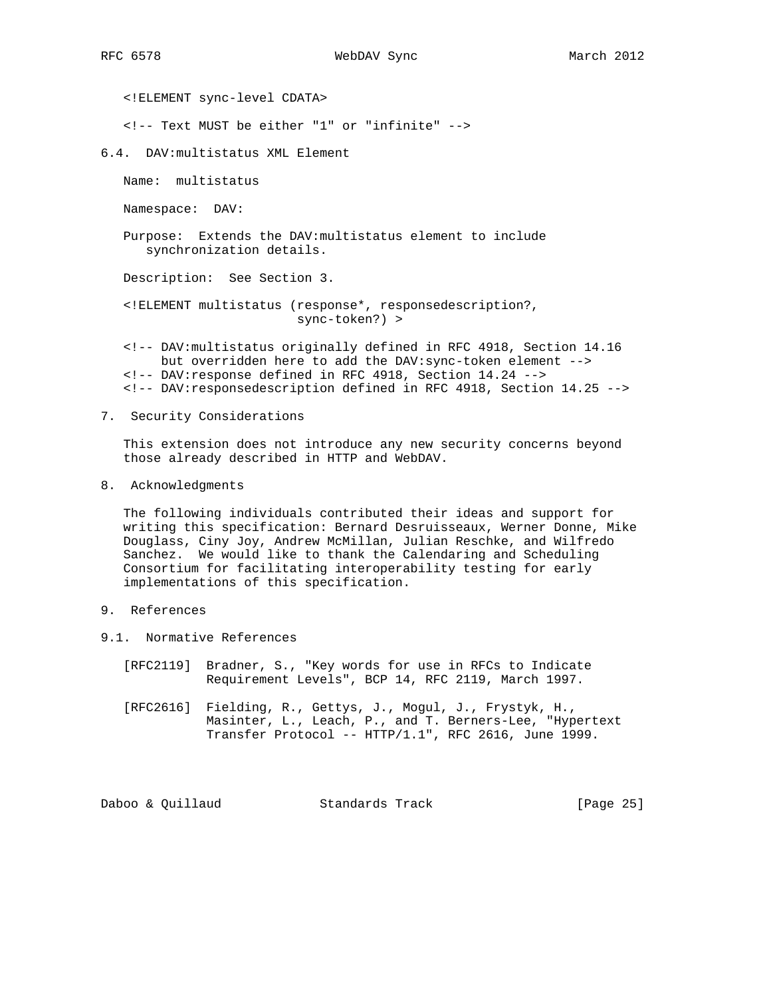<!ELEMENT sync-level CDATA>

<!-- Text MUST be either "1" or "infinite" -->

6.4. DAV:multistatus XML Element

Name: multistatus

Namespace: DAV:

 Purpose: Extends the DAV:multistatus element to include synchronization details.

Description: See Section 3.

- <!ELEMENT multistatus (response\*, responsedescription?, sync-token?) >
- <!-- DAV:multistatus originally defined in RFC 4918, Section 14.16 but overridden here to add the DAV:sync-token element --> <!-- DAV:response defined in RFC 4918, Section 14.24 --> <!-- DAV:responsedescription defined in RFC 4918, Section 14.25 -->
- 7. Security Considerations

 This extension does not introduce any new security concerns beyond those already described in HTTP and WebDAV.

8. Acknowledgments

 The following individuals contributed their ideas and support for writing this specification: Bernard Desruisseaux, Werner Donne, Mike Douglass, Ciny Joy, Andrew McMillan, Julian Reschke, and Wilfredo Sanchez. We would like to thank the Calendaring and Scheduling Consortium for facilitating interoperability testing for early implementations of this specification.

- 9. References
- 9.1. Normative References
	- [RFC2119] Bradner, S., "Key words for use in RFCs to Indicate Requirement Levels", BCP 14, RFC 2119, March 1997.
	- [RFC2616] Fielding, R., Gettys, J., Mogul, J., Frystyk, H., Masinter, L., Leach, P., and T. Berners-Lee, "Hypertext Transfer Protocol -- HTTP/1.1", RFC 2616, June 1999.

Daboo & Quillaud Standards Track [Page 25]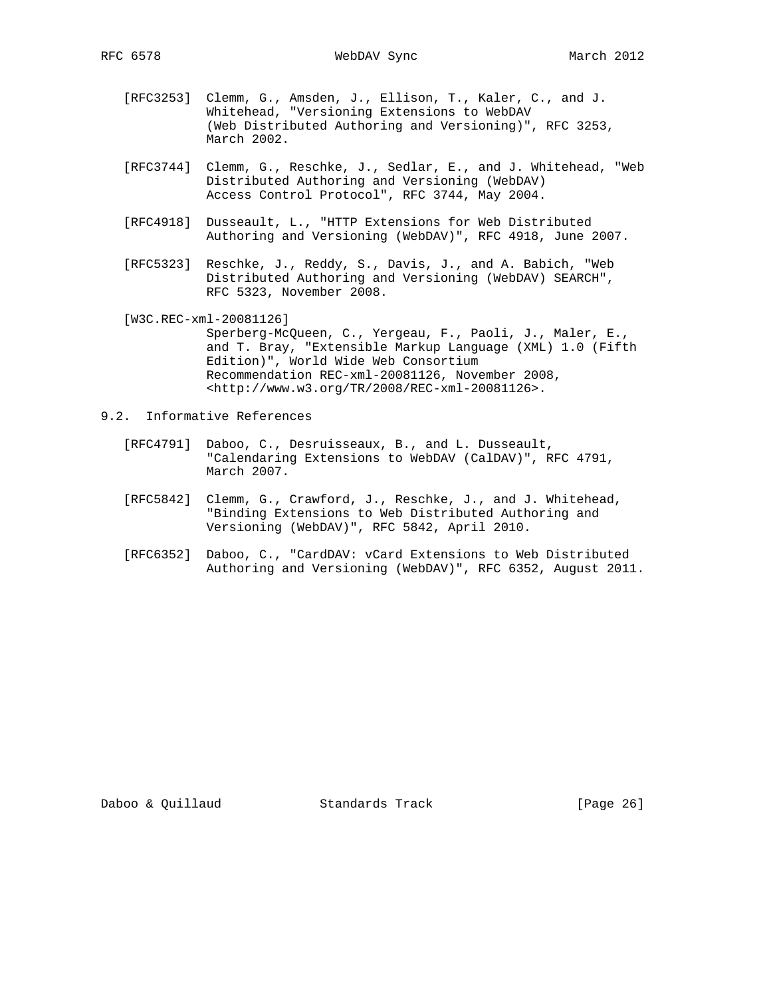- [RFC3253] Clemm, G., Amsden, J., Ellison, T., Kaler, C., and J. Whitehead, "Versioning Extensions to WebDAV (Web Distributed Authoring and Versioning)", RFC 3253, March 2002.
- [RFC3744] Clemm, G., Reschke, J., Sedlar, E., and J. Whitehead, "Web Distributed Authoring and Versioning (WebDAV) Access Control Protocol", RFC 3744, May 2004.
- [RFC4918] Dusseault, L., "HTTP Extensions for Web Distributed Authoring and Versioning (WebDAV)", RFC 4918, June 2007.
- [RFC5323] Reschke, J., Reddy, S., Davis, J., and A. Babich, "Web Distributed Authoring and Versioning (WebDAV) SEARCH", RFC 5323, November 2008.

[W3C.REC-xml-20081126]

- Sperberg-McQueen, C., Yergeau, F., Paoli, J., Maler, E., and T. Bray, "Extensible Markup Language (XML) 1.0 (Fifth Edition)", World Wide Web Consortium Recommendation REC-xml-20081126, November 2008, <http://www.w3.org/TR/2008/REC-xml-20081126>.
- 9.2. Informative References
	- [RFC4791] Daboo, C., Desruisseaux, B., and L. Dusseault, "Calendaring Extensions to WebDAV (CalDAV)", RFC 4791, March 2007.
	- [RFC5842] Clemm, G., Crawford, J., Reschke, J., and J. Whitehead, "Binding Extensions to Web Distributed Authoring and Versioning (WebDAV)", RFC 5842, April 2010.
	- [RFC6352] Daboo, C., "CardDAV: vCard Extensions to Web Distributed Authoring and Versioning (WebDAV)", RFC 6352, August 2011.

Daboo & Quillaud Standards Track [Page 26]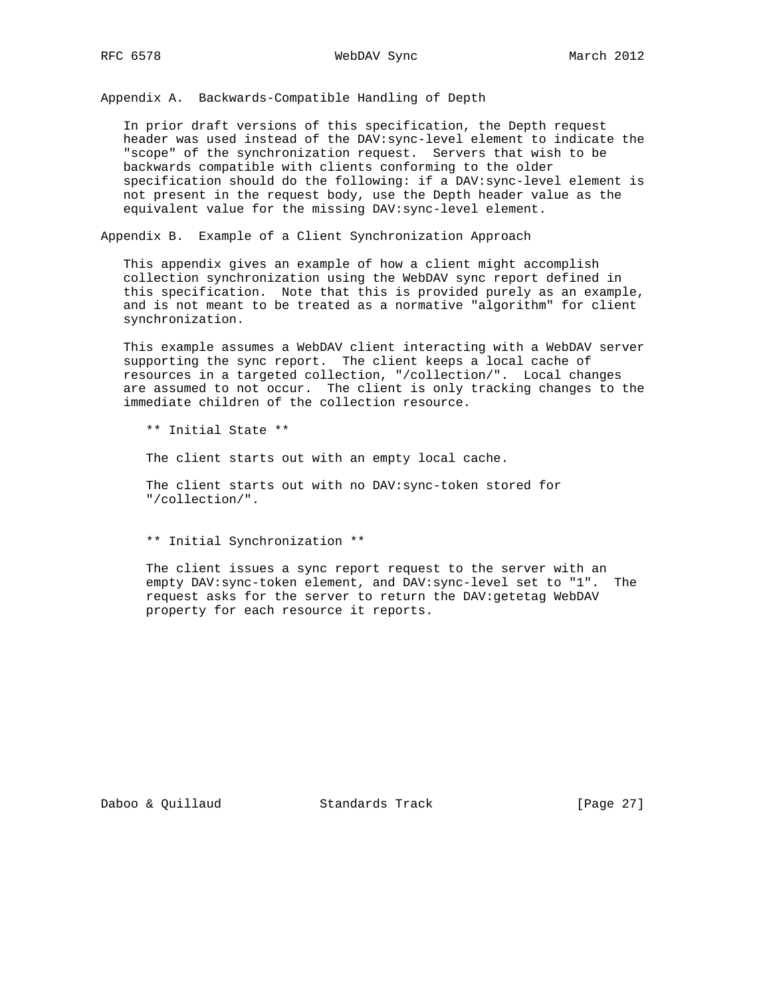RFC 6578 WebDAV Sync March 2012

Appendix A. Backwards-Compatible Handling of Depth

 In prior draft versions of this specification, the Depth request header was used instead of the DAV:sync-level element to indicate the "scope" of the synchronization request. Servers that wish to be backwards compatible with clients conforming to the older specification should do the following: if a DAV:sync-level element is not present in the request body, use the Depth header value as the equivalent value for the missing DAV:sync-level element.

Appendix B. Example of a Client Synchronization Approach

 This appendix gives an example of how a client might accomplish collection synchronization using the WebDAV sync report defined in this specification. Note that this is provided purely as an example, and is not meant to be treated as a normative "algorithm" for client synchronization.

 This example assumes a WebDAV client interacting with a WebDAV server supporting the sync report. The client keeps a local cache of resources in a targeted collection, "/collection/". Local changes are assumed to not occur. The client is only tracking changes to the immediate children of the collection resource.

\*\* Initial State \*\*

The client starts out with an empty local cache.

 The client starts out with no DAV:sync-token stored for "/collection/".

\*\* Initial Synchronization \*\*

 The client issues a sync report request to the server with an empty DAV:sync-token element, and DAV:sync-level set to "1". The request asks for the server to return the DAV:getetag WebDAV property for each resource it reports.

Daboo & Quillaud Standards Track [Page 27]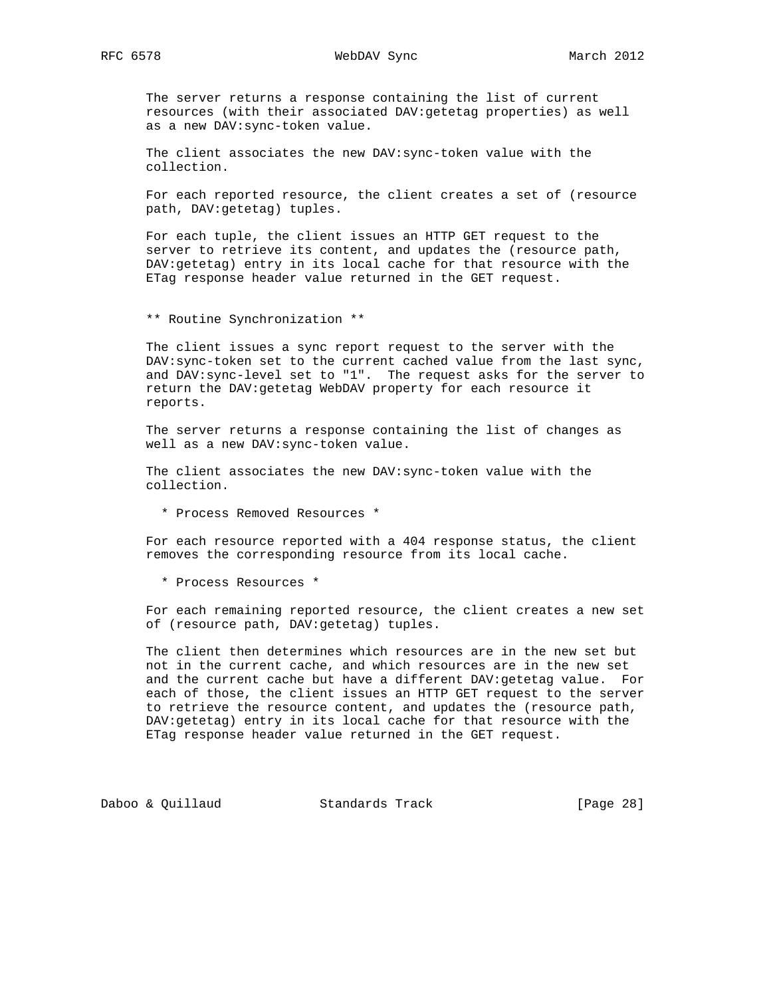The server returns a response containing the list of current resources (with their associated DAV:getetag properties) as well as a new DAV:sync-token value.

 The client associates the new DAV:sync-token value with the collection.

 For each reported resource, the client creates a set of (resource path, DAV:getetag) tuples.

 For each tuple, the client issues an HTTP GET request to the server to retrieve its content, and updates the (resource path, DAV:getetag) entry in its local cache for that resource with the ETag response header value returned in the GET request.

\*\* Routine Synchronization \*\*

 The client issues a sync report request to the server with the DAV:sync-token set to the current cached value from the last sync, and DAV:sync-level set to "1". The request asks for the server to return the DAV:getetag WebDAV property for each resource it reports.

 The server returns a response containing the list of changes as well as a new DAV:sync-token value.

 The client associates the new DAV:sync-token value with the collection.

\* Process Removed Resources \*

 For each resource reported with a 404 response status, the client removes the corresponding resource from its local cache.

\* Process Resources \*

 For each remaining reported resource, the client creates a new set of (resource path, DAV:getetag) tuples.

 The client then determines which resources are in the new set but not in the current cache, and which resources are in the new set and the current cache but have a different DAV:getetag value. For each of those, the client issues an HTTP GET request to the server to retrieve the resource content, and updates the (resource path, DAV:getetag) entry in its local cache for that resource with the ETag response header value returned in the GET request.

Daboo & Quillaud Standards Track [Page 28]